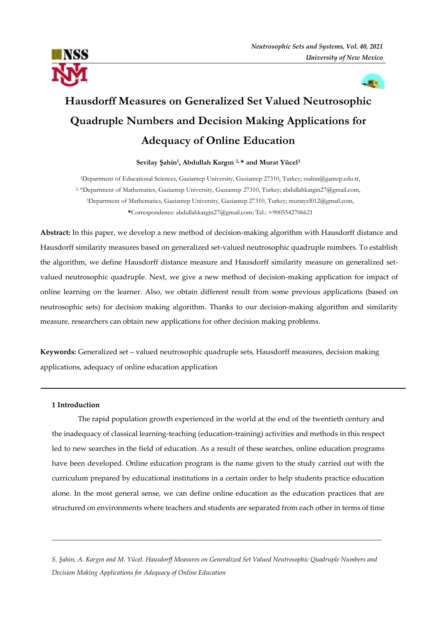



I

# **Hausdorff Measures on Generalized Set Valued Neutrosophic Quadruple Numbers and Decision Making Applications for Adequacy of Online Education**

## **Sevilay Şahin<sup>1</sup> , Abdullah Kargın 2, \* and Murat Yücel<sup>3</sup>**

<sup>1</sup>Department of Educational Sciences, Gaziantep University, Gaziantep 27310, Turkey; ssahin@gantep.edu.tr, 2, \*Department of Mathematics, Gaziantep University, Gaziantep 27310, Turkey; abdullahkargin27@gmail.com, <sup>3</sup>Department of Mathematics, Gaziantep University, Gaziantep 27310, Turkey; muratycl012@gmail.com, **\***Correspondence: abdullahkargin27@gmail.com; Tel.: +9005542706621

**Abstract:** In this paper, we develop a new method of decision-making algorithm with Hausdorff distance and Hausdorff similarity measures based on generalized set-valued neutrosophic quadruple numbers. To establish the algorithm, we define Hausdorff distance measure and Hausdorff similarity measure on generalized setvalued neutrosophic quadruple. Next, we give a new method of decision-making application for impact of online learning on the learner. Also, we obtain different result from some previous applications (based on neutrosophic sets) for decision making algorithm. Thanks to our decision-making algorithm and similarity measure, researchers can obtain new applications for other decision making problems.

**Keywords:** Generalized set – valued neutrosophic quadruple sets, Hausdorff measures, decision making applications, adequacy of online education application

#### **1 Introduction**

The rapid population growth experienced in the world at the end of the twentieth century and the inadequacy of classical learning-teaching (education-training) activities and methods in this respect led to new searches in the field of education. As a result of these searches, online education programs have been developed. Online education program is the name given to the study carried out with the curriculum prepared by educational institutions in a certain order to help students practice education alone. In the most general sense, we can define online education as the education practices that are structured on environments where teachers and students are separated from each other in terms of time

*S. Şahin, A. Kargın and M. Yücel. Hausdorff Measures on Generalized Set Valued Neutrosophic Quadruple Numbers and Decision Making Applications for Adequacy of Online Education*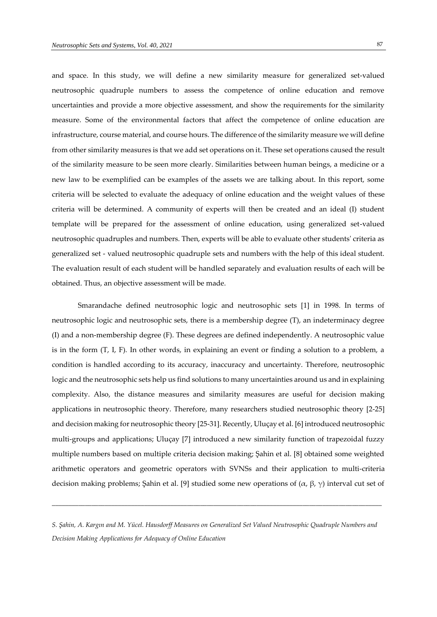and space. In this study, we will define a new similarity measure for generalized set-valued neutrosophic quadruple numbers to assess the competence of online education and remove uncertainties and provide a more objective assessment, and show the requirements for the similarity measure. Some of the environmental factors that affect the competence of online education are infrastructure, course material, and course hours. The difference of the similarity measure we will define from other similarity measures is that we add set operations on it. These set operations caused the result of the similarity measure to be seen more clearly. Similarities between human beings, a medicine or a new law to be exemplified can be examples of the assets we are talking about. In this report, some criteria will be selected to evaluate the adequacy of online education and the weight values of these criteria will be determined. A community of experts will then be created and an ideal (I) student template will be prepared for the assessment of online education, using generalized set-valued neutrosophic quadruples and numbers. Then, experts will be able to evaluate other students' criteria as generalized set - valued neutrosophic quadruple sets and numbers with the help of this ideal student. The evaluation result of each student will be handled separately and evaluation results of each will be obtained. Thus, an objective assessment will be made.

Smarandache defined neutrosophic logic and neutrosophic sets [1] in 1998. In terms of neutrosophic logic and neutrosophic sets, there is a membership degree (T), an indeterminacy degree (I) and a non-membership degree (F). These degrees are defined independently. A neutrosophic value is in the form (T, I, F). In other words, in explaining an event or finding a solution to a problem, a condition is handled according to its accuracy, inaccuracy and uncertainty. Therefore, neutrosophic logic and the neutrosophic sets help us find solutions to many uncertainties around us and in explaining complexity. Also, the distance measures and similarity measures are useful for decision making applications in neutrosophic theory. Therefore, many researchers studied neutrosophic theory [2-25] and decision making for neutrosophic theory [25-31]. Recently, Uluçay et al. [6] introduced neutrosophic multi-groups and applications; Uluçay [7] introduced a new similarity function of trapezoidal fuzzy multiple numbers based on multiple criteria decision making; Şahin et al. [8] obtained some weighted arithmetic operators and geometric operators with SVNSs and their application to multi-criteria decision making problems; Şahin et al. [9] studied some new operations of (α, β, γ) interval cut set of

*S. Şahin, A. Kargın and M. Yücel. Hausdorff Measures on Generalized Set Valued Neutrosophic Quadruple Numbers and Decision Making Applications for Adequacy of Online Education*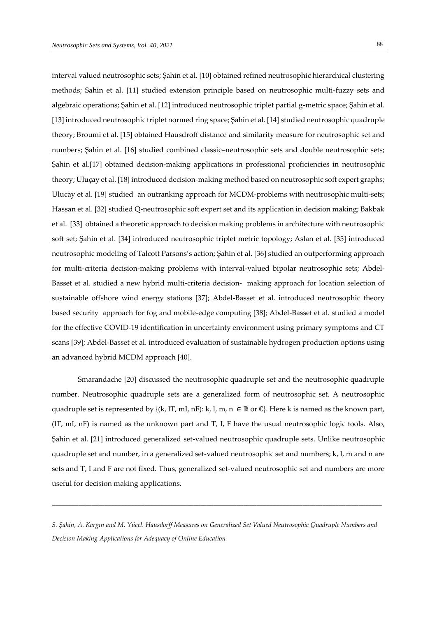interval valued neutrosophic sets; Şahin et al. [10] obtained refined neutrosophic hierarchical clustering methods; Sahin et al. [11] studied extension principle based on neutrosophic multi-fuzzy sets and algebraic operations; Şahin et al. [12] introduced neutrosophic triplet partial g-metric space; Şahin et al. [13] introduced neutrosophic triplet normed ring space; Şahin et al. [14] studied neutrosophic quadruple theory; Broumi et al. [15] obtained Hausdroff distance and similarity measure for neutrosophic set and numbers; Şahin et al. [16] studied combined classic–neutrosophic sets and double neutrosophic sets; Şahin et al.[17] obtained decision-making applications in professional proficiencies in neutrosophic theory; Uluçay et al. [18] introduced decision-making method based on neutrosophic soft expert graphs; Ulucay et al. [19] studied an outranking approach for MCDM-problems with neutrosophic multi-sets; Hassan et al. [32] studied Q-neutrosophic soft expert set and its application in decision making; Bakbak et al. [33] obtained a theoretic approach to decision making problems in architecture with neutrosophic soft set; Şahin et al. [34] introduced neutrosophic triplet metric topology; Aslan et al. [35] introduced neutrosophic modeling of Talcott Parsons's action; Şahin et al. [36] studied an outperforming approach for multi-criteria decision-making problems with interval-valued bipolar neutrosophic sets; Abdel-Basset et al. studied a new hybrid multi-criteria decision- making approach for location selection of sustainable offshore wind energy stations [37]; Abdel-Basset et al. introduced neutrosophic theory based security approach for fog and mobile-edge computing [38]; Abdel-Basset et al. studied a model for the effective COVID-19 identification in uncertainty environment using primary symptoms and CT scans [39]; Abdel-Basset et al. introduced evaluation of sustainable hydrogen production options using an advanced hybrid MCDM approach [40].

Smarandache [20] discussed the neutrosophic quadruple set and the neutrosophic quadruple number. Neutrosophic quadruple sets are a generalized form of neutrosophic set. A neutrosophic quadruple set is represented by  $\{(k, IT, MI, nf): k, l, m, n \in \mathbb{R} \text{ or } \mathbb{C}\}\.$  Here k is named as the known part, (lT, mI, nF) is named as the unknown part and T, I, F have the usual neutrosophic logic tools. Also, Şahin et al. [21] introduced generalized set-valued neutrosophic quadruple sets. Unlike neutrosophic quadruple set and number, in a generalized set-valued neutrosophic set and numbers; k, l, m and n are sets and T, I and F are not fixed. Thus, generalized set-valued neutrosophic set and numbers are more useful for decision making applications.

*S. Şahin, A. Kargın and M. Yücel. Hausdorff Measures on Generalized Set Valued Neutrosophic Quadruple Numbers and Decision Making Applications for Adequacy of Online Education*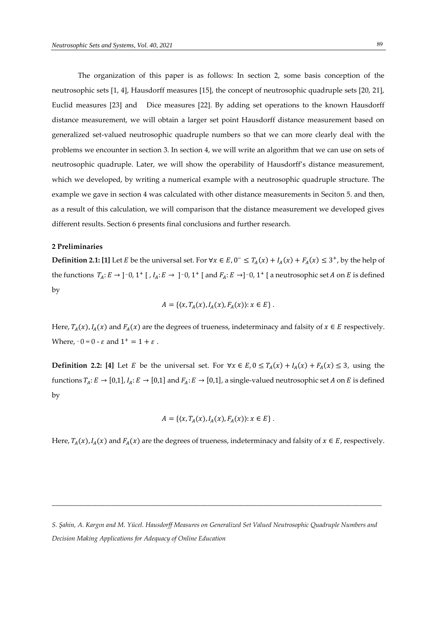The organization of this paper is as follows: In section 2, some basis conception of the neutrosophic sets [1, 4], Hausdorff measures [15], the concept of neutrosophic quadruple sets [20, 21], Euclid measures [23] and Dice measures [22]. By adding set operations to the known Hausdorff distance measurement, we will obtain a larger set point Hausdorff distance measurement based on generalized set-valued neutrosophic quadruple numbers so that we can more clearly deal with the problems we encounter in section 3. In section 4, we will write an algorithm that we can use on sets of neutrosophic quadruple. Later, we will show the operability of Hausdorff's distance measurement, which we developed, by writing a numerical example with a neutrosophic quadruple structure. The example we gave in section 4 was calculated with other distance measurements in Seciton 5. and then, as a result of this calculation, we will comparison that the distance measurement we developed gives different results. Section 6 presents final conclusions and further research.

#### **2 Preliminaries**

**Definition 2.1:** [1] Let *E* be the universal set. For  $\forall x \in E$ ,  $0^- \le T_A(x) + I_A(x) + F_A(x) \le 3^+$ , by the help of the functions  $T_A: E \to ]-0, 1^+ [$ ,  $I_A: E \to ]-0, 1^+ [$  and  $F_A: E \to ]-0, 1^+ [$  a neutrosophic set A on E is defined by

$$
A = \{ (x, T_A(x), I_A(x), F_A(x)) : x \in E \}.
$$

Here,  $T_A(x)$ ,  $I_A(x)$  and  $F_A(x)$  are the degrees of trueness, indeterminacy and falsity of  $x \in E$  respectively. Where,  $-0 = 0 - \varepsilon$  and  $1^+ = 1 + \varepsilon$ .

**Definition 2.2:** [4] Let *E* be the universal set. For  $\forall x \in E, 0 \leq T_A(x) + I_A(x) + F_A(x) \leq 3$ , using the functions  $T_A: E \to [0,1], I_A: E \to [0,1]$  and  $F_A: E \to [0,1],$  a single-valued neutrosophic set A on E is defined by

$$
A = \{ (x, T_A(x), I_A(x), F_A(x)) : x \in E \}.
$$

Here,  $T_A(x)$ ,  $I_A(x)$  and  $F_A(x)$  are the degrees of trueness, indeterminacy and falsity of  $x \in E$ , respectively.

*S. Şahin, A. Kargın and M. Yücel. Hausdorff Measures on Generalized Set Valued Neutrosophic Quadruple Numbers and Decision Making Applications for Adequacy of Online Education*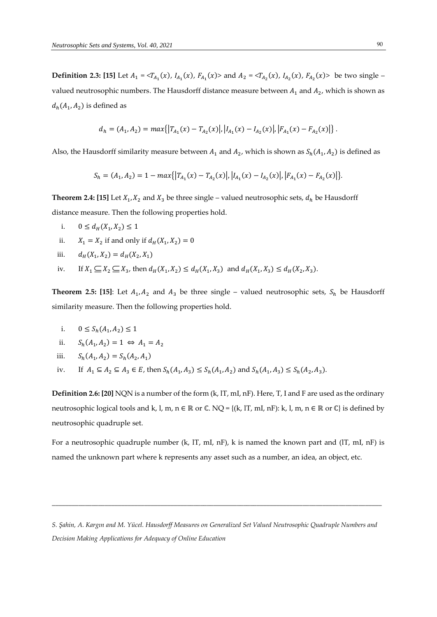**Definition 2.3:** [15] Let  $A_1 = \langle T_{A_1}(x), I_{A_1}(x), F_{A_1}(x) \rangle$  and  $A_2 = \langle T_{A_2}(x), I_{A_2}(x), F_{A_2}(x) \rangle$  be two single  $$ valued neutrosophic numbers. The Hausdorff distance measure between  $A_1$  and  $A_2$ , which is shown as  $d_h(A_1, A_2)$  is defined as

$$
d_h = (A_1, A_2) = max\{ |T_{A_1}(x) - T_{A_2}(x)|, |I_{A_1}(x) - I_{A_2}(x)|, |F_{A_1}(x) - F_{A_2}(x)| \}.
$$

Also, the Hausdorff similarity measure between  $A_1$  and  $A_2$ , which is shown as  $S_h(A_1, A_2)$  is defined as

$$
S_h = (A_1, A_2) = 1 - \max\{|T_{A_1}(x) - T_{A_2}(x)|, |I_{A_1}(x) - I_{A_2}(x)|, |F_{A_1}(x) - F_{A_2}(x)|\}.
$$

**Theorem 2.4: [15]** Let  $X_1, X_2$  and  $X_3$  be three single – valued neutrosophic sets,  $d_h$  be Hausdorff distance measure. Then the following properties hold.

i. 
$$
0 \le d_H(X_1, X_2) \le 1
$$

ii.  $X_1 = X_2$  if and only if  $d_H(X_1, X_2) = 0$ 

iii. 
$$
d_H(X_1, X_2) = d_H(X_2, X_1)
$$

iv. If  $X_1 \subseteq X_2 \subseteq X_3$ , then  $d_H(X_1, X_2) \le d_H(X_1, X_3)$  and  $d_H(X_1, X_3) \le d_H(X_2, X_3)$ .

**Theorem 2.5: [15]:** Let  $A_1$ ,  $A_2$  and  $A_3$  be three single – valued neutrosophic sets,  $S_h$  be Hausdorff similarity measure. Then the following properties hold.

- i.  $0 \le S_h(A_1, A_2) \le 1$
- ii.  $S_h(A_1, A_2) = 1 \Leftrightarrow A_1 = A_2$
- iii.  $S_h(A_1, A_2) = S_h(A_2, A_1)$
- iv. If  $A_1 \subseteq A_2 \subseteq A_3 \in E$ , then  $S_h(A_1, A_3) \le S_h(A_1, A_2)$  and  $S_h(A_1, A_3) \le S_h(A_2, A_3)$ .

**Definition 2.6: [20]** NQN is a number of the form (k, lT, mI, nF). Here, T, I and F are used as the ordinary neutrosophic logical tools and k, l, m, n  $\in \mathbb{R}$  or  $\mathbb{C}$ . NQ = {(k, IT, mI, nF): k, l, m, n  $\in \mathbb{R}$  or  $\mathbb{C}$ } is defined by neutrosophic quadruple set.

For a neutrosophic quadruple number (k, lT, mI, nF), k is named the known part and (lT, mI, nF) is named the unknown part where k represents any asset such as a number, an idea, an object, etc.

*S. Şahin, A. Kargın and M. Yücel. Hausdorff Measures on Generalized Set Valued Neutrosophic Quadruple Numbers and Decision Making Applications for Adequacy of Online Education*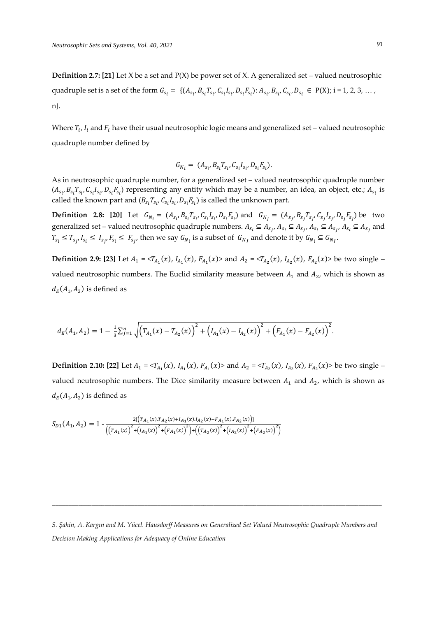**Definition 2.7: [21]** Let X be a set and P(X) be power set of X. A generalized set – valued neutrosophic quadruple set is a set of the form  $G_{s_i} = \{(A_{s_i}, B_{s_i}T_{s_i}, C_{s_i}I_{s_i}, D_{s_i}F_{s_i}) : A_{s_i}, B_{s_i}, C_{s_i}, D_{s_i} \in P(X); i = 1, 2, 3, ...,$ n}.

Where  $T_i$ ,  $I_i$  and  $F_i$  have their usual neutrosophic logic means and generalized set – valued neutrosophic quadruple number defined by

$$
G_{N_i} = (A_{s_i}, B_{s_i} T_{s_i}, C_{s_i} I_{s_i}, D_{s_i} F_{s_i}).
$$

As in neutrosophic quadruple number, for a generalized set – valued neutrosophic quadruple number  $(A_{s_i},B_{s_i}T_{s_i},C_{s_i}I_{s_i},D_{s_i}F_{s_i})$  representing any entity which may be a number, an idea, an object, etc.;  $A_{s_i}$  is called the known part and  $(B_{s_i}T_{s_i}, C_{s_i}I_{s_i}, D_{s_i}F_{s_i})$  is called the unknown part.

**Definition 2.8: [20]** Let  $G_{N_i} = (A_{s_i}, B_{s_i}T_{s_i}, C_{s_i}I_{s_i}, D_{s_i}F_{s_i})$  and  $G_{N_j} = (A_{s_j}, B_{s_j}T_{s_j}, C_{s_j}I_{s_j}, D_{s_j}F_{s_j})$  be two generalized set – valued neutrosophic quadruple numbers.  $A_{s_i} \subseteq A_{s_j}$ ,  $A_{s_i} \subseteq A_{s_j}$ ,  $A_{s_i} \subseteq A_{s_j}$ ,  $A_{s_i} \subseteq A_{s_j}$  and  $T_{s_i} \leq T_{s_j}, I_{s_i} \leq I_{s_j}, F_{s_i} \leq F_{s_j}$ , then we say  $G_{N_i}$  is a subset of  $G_{N_j}$  and denote it by  $G_{N_i} \subseteq G_{N_j}$ .

**Definition 2.9: [23]** Let  $A_1 = \langle T_{A_1}(x), I_{A_1}(x), F_{A_1}(x) \rangle$  and  $A_2 = \langle T_{A_2}(x), I_{A_2}(x), F_{A_2}(x) \rangle$  be two single  $$ valued neutrosophic numbers. The Euclid similarity measure between  $A_1$  and  $A_2$ , which is shown as  $d_E(A_1, A_2)$  is defined as

$$
d_E(A_1,A_2)=1-\frac{1}{3}\sum_{j=1}^n\sqrt{\left(T_{A_1}(x)-T_{A_2}(x)\right)^2+\left(I_{A_1}(x)-I_{A_2}(x)\right)^2+\left(F_{A_1}(x)-F_{A_2}(x)\right)^2}.
$$

**Definition 2.10: [22]** Let  $A_1 = \langle T_{A_1}(x), I_{A_1}(x), F_{A_1}(x) \rangle$  and  $A_2 = \langle T_{A_2}(x), I_{A_2}(x), F_{A_2}(x) \rangle$  be two single  $-\frac{1}{2}$ valued neutrosophic numbers. The Dice similarity measure between  $A_1$  and  $A_2$ , which is shown as  $d_E(A_1, A_2)$  is defined as

$$
S_{D1}(A_1, A_2) = 1 - \frac{2[(T_{A_1}(x)T_{A_2}(x) + I_{A_1}(x)I_{A_2}(x) + F_{A_1}(x)F_{A_2}(x))] }{((T_{A_1}(x))^{2} + (I_{A_1}(x))^{2} + (F_{A_1}(x))^{2}) + ((T_{A_2}(x))^{2} + (I_{A_2}(x))^{2}) + (F_{A_2}(x))^{2})}
$$

*S. Şahin, A. Kargın and M. Yücel. Hausdorff Measures on Generalized Set Valued Neutrosophic Quadruple Numbers and Decision Making Applications for Adequacy of Online Education*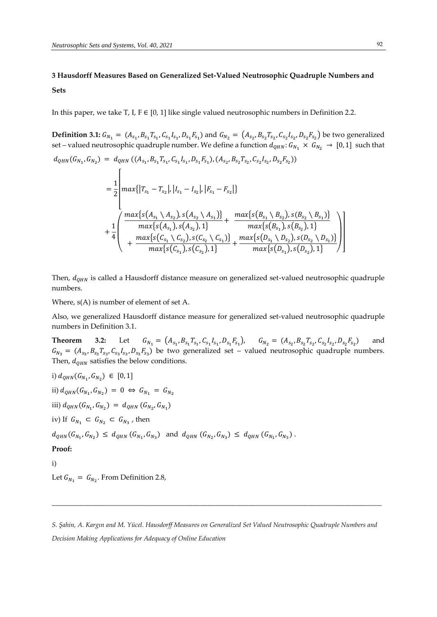# **3 Hausdorff Measures Based on Generalized Set-Valued Neutrosophic Quadruple Numbers and Sets**

In this paper, we take T, I,  $F \in [0, 1]$  like single valued neutrosophic numbers in Definition 2.2.

**Definition 3.1:**  $G_{N_1} = (A_{s_1}, B_{s_1}T_{s_1}, C_{s_1}I_{s_1}, D_{s_1}F_{s_1})$  and  $G_{N_2} = (A_{s_2}, B_{s_2}T_{s_2}, C_{s_2}I_{s_2}, D_{s_2}F_{s_2})$  be two generalized set – valued neutrosophic quadruple number. We define a function  $d_{QHN}$ :  $G_{N_1} \times G_{N_2} \to [0, 1]$  such that

$$
d_{QHN}(G_{N_1}, G_{N_2}) = d_{QHN} ((A_{s_1}, B_{s_1}T_{s_1}, C_{s_1}I_{s_1}, D_{s_1}F_{s_1}), (A_{s_2}, B_{s_2}T_{s_2}, C_{s_2}I_{s_2}, D_{s_2}F_{s_2}))
$$
  
\n
$$
= \frac{1}{2} \left[ max\{ |T_{s_1} - T_{s_2}|, |I_{s_1} - I_{s_2}|, |F_{s_1} - F_{s_2}| \} \right]
$$
  
\n
$$
+ \frac{1}{4} \left( \frac{max\{s(A_{s_1} \setminus A_{s_2}), s(A_{s_2} \setminus A_{s_1})\}}{max\{s(A_{s_1}), s(A_{s_2}), 1\}} + \frac{max\{s(B_{s_1} \setminus B_{s_2}), s(B_{s_2} \setminus B_{s_1})\}}{max\{s(B_{s_1}), s(B_{s_2}), 1\}} \right)
$$
  
\n
$$
+ \frac{max\{s(C_{s_1} \setminus C_{s_2}), s(C_{s_2} \setminus C_{s_1})\}}{max\{s(C_{s_1}), s(C_{s_2}), 1\}} + \frac{max\{s(D_{s_1} \setminus D_{s_2}), s(D_{s_2} \setminus D_{s_1})\}}{max\{s(D_{s_1}), s(D_{s_2}), 1\}} \right)
$$

Then,  $d_{OHN}$  is called a Hausdorff distance measure on generalized set-valued neutrosophic quadruple numbers.

Where, s(A) is number of element of set A.

Also, we generalized Hausdorff distance measure for generalized set-valued neutrosophic quadruple numbers in Definition 3.1.

**Theorem 3.2:** Let ,  $B_{s_1}T_{s_1}$ ,  $C_{s_1}I_{s_1}$ ,  $D_{s_1}F_{s_1}$ ,  $G_{N_2} = (A_{s_2}, B_{s_2}T_{s_2}, C_{s_2}I_{s_2}, D_{s_2}F_{s_2})$ ) and  $G_{N_3} = (A_{s_3}, B_{s_3}T_{s_3}, C_{s_3}I_{s_3}, D_{s_3}F_{s_3})$  be two generalized set – valued neutrosophic quadruple numbers. Then,  $d_{OHN}$  satisfies the below conditions.

i)  $d_{QHN}(G_{N_1}, G_{N_2}) \in [0, 1]$ ii)  $d_{QHN}(G_{N_1}, G_{N_2}) = 0 \Leftrightarrow G_{N_1} = G_{N_2}$ iii)  $d_{QHN}(G_{N_1}, G_{N_2}) = d_{QHN}(G_{N_2}, G_{N_1})$ iv) If  $G_{N_1} \subset G_{N_2} \subset G_{N_3}$ , then  $d_{QHN}(G_{N_1}, G_{N_2}) \leq d_{QHN}(G_{N_1}, G_{N_3})$  and  $d_{QHN}(G_{N_2}, G_{N_3}) \leq d_{QHN}(G_{N_1}, G_{N_3})$ . **Proof:** 

i)

Let  $G_{N_1} = G_{N_2}$ . From Definition 2.8,

*S. Şahin, A. Kargın and M. Yücel. Hausdorff Measures on Generalized Set Valued Neutrosophic Quadruple Numbers and Decision Making Applications for Adequacy of Online Education*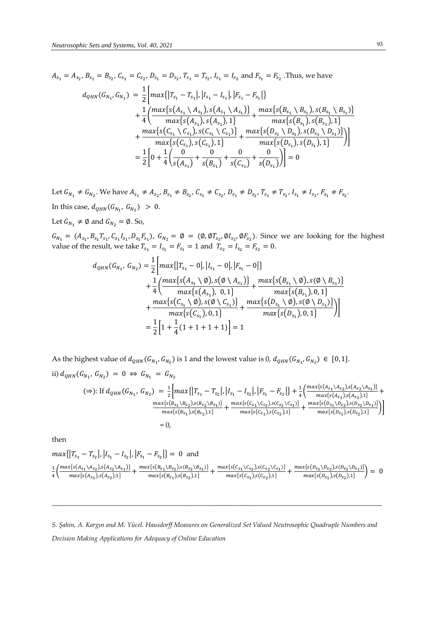$$
A_{s_1} = A_{s_2}, B_{s_1} = B_{s_2}, C_{s_1} = C_{s_2}, D_{s_1} = D_{s_2}, T_{s_1} = T_{s_2}, I_{s_1} = I_{s_2} \text{ and } F_{s_1} = F_{s_2}. \text{ Thus, we have}
$$
\n
$$
d_{QHN}(G_{N_1}, G_{N_1}) = \frac{1}{2} \Big[ max \{ |T_{s_1} - T_{s_1}|, |I_{s_1} - I_{s_1}|, |F_{s_1} - F_{s_1}| \} + \frac{1}{4} \Big( \frac{max \{ s(A_{s_1} \setminus A_{s_1}), s(A_{s_1} \setminus A_{s_1}) \} + \frac{max \{ s(B_{s_1} \setminus B_{s_1}), s(B_{s_1} \setminus B_{s_1}) \} }{max \{ s(B_{s_1}), s(B_{s_1}), 1 \} } + \frac{max \{ s(C_{s_1} \setminus C_{s_1}), s(C_{s_1} \setminus C_{s_1}) \} + \frac{max \{ s(D_{s_1} \setminus D_{s_1}), s(D_{s_1} \setminus D_{s_1}) \} }{max \{ s(C_{s_1}), s(C_{s_1}), 1 \} } + \frac{max \{ s(D_{s_1} \setminus D_{s_1}), s(D_{s_1} \setminus D_{s_1}) \} }{max \{ s(D_{s_1}), s(D_{s_1}), 1 \} } \Big]
$$
\n
$$
= \frac{1}{2} \Big[ 0 + \frac{1}{4} \Big( \frac{0}{s(A_{s_1})} + \frac{0}{s(B_{s_1})} + \frac{0}{s(C_{s_1})} + \frac{0}{s(D_{s_1})} \Big) \Big] = 0
$$

Let  $G_{N_1} \neq G_{N_2}$ . We have  $A_{s_1} \neq A_{s_2}, B_{s_1} \neq B_{s_2}, C_{s_1} \neq C_{s_2}, D_{s_1} \neq D_{s_2}, T_{s_1} \neq T_{s_2}, I_{s_1} \neq I_{s_2}, F_{s_1} \neq F_{s_2}$ . In this case,  $d_{QHN}(G_{N_1}, G_{N_2}) > 0$ . Let  $G_{N_2} \neq \emptyset$  and  $G_{N_2} = \emptyset$ . So,

 $G_{N_1} = (A_{s_1}, B_{s_1}T_{s_1}, C_{s_1}I_{s_1}, D_{s_1}F_{s_1}), G_{N_2} = \emptyset = (\emptyset, \emptyset T_{s_2}, \emptyset I_{s_2}, \emptyset F_{s_2}).$  Since we are looking for the highest value of the result, we take  $T_{s_1} = I_{s_1} = F_{s_1} = 1$  and  $T_{s_2} = I_{s_2} = F_{s_2} = 0$ .

 $\left[\frac{1}{s(D_{s_1})}\right]=0$ 

$$
d_{QHN}(G_{N_1}, G_{N_2}) = \frac{1}{2} \Big[ max\{|T_{s_1} - 0|, |I_{s_1} - 0|, |F_{s_1} - 0|\}
$$
  
+ 
$$
\frac{1}{4} \Big( \frac{max\{s(A_{s_1} \setminus \emptyset), s(\emptyset \setminus A_{s_1})\}}{max\{s(A_{s_1}), 0, 1\}} + \frac{max\{s(B_{s_1} \setminus \emptyset), s(\emptyset \setminus B_{s_1})\}}{max\{s(C_{s_1} \setminus \emptyset), s(\emptyset \setminus C_{s_1})\}} + \frac{max\{s(C_{s_1} \setminus \emptyset), s(\emptyset \setminus D_{s_1})\}}{max\{s(C_{s_1}), 0, 1\}} + \frac{max\{s(D_{s_1} \setminus \emptyset), s(\emptyset \setminus D_{s_1})\}}{max\{s(D_{s_1}), 0, 1\}} \Big) \Big]
$$
  
= 
$$
\frac{1}{2} \Big[ 1 + \frac{1}{4} (1 + 1 + 1 + 1) \Big] = 1
$$

As the highest value of  $d_{QHN}(G_{N_1}, G_{N_2})$  is 1 and the lowest value is 0,  $d_{QHN}(G_{N_1}, G_{N_2}) \in [0, 1]$ . ii)  $d_{QHN}(G_{N_1}, G_{N_2}) = 0 \Leftrightarrow G_{N_1} = G_{N_2}$ (⇒): If  $d_{QHN}(G_{N_1}, G_{N_2}) = \frac{1}{2}$  $\frac{1}{2}$  |  $max{ |T_{s_1} - T_{s_2}|, |I_{s_1} - I_{s_2}|, |F_{s_1} - F_{s_2}| }$  +  $\frac{1}{4}$  $\frac{1}{4} \left( \frac{max\{s(A_{S_1} \setminus A_{S_2}), s(A_{S_2} \setminus A_{S_1})\}}{max\{s(A_{S_1}), s(A_{S_2}), 1\}} \right)$  $\frac{\max\{s(A_{s_1}),s(A_{s_2}),1\}}{\max\{s(A_{s_1}),s(A_{s_2}),1\}} +$  $max{s | B_{s_1} \setminus B_{s_2}}$ ,  $s(B_{s_2} \setminus B_{s_1})}$  $\frac{\max\{S(S_{S_1}\setminus B_{S_2})\}\{B_{S_2}\setminus B_{S_1}\}}{\max\{S(S_{S_1})\}\{B_{S_2}\}\} + \frac{\max\{S(C_{S_1}\setminus C_{S_2})\}\{C_{S_2}\setminus C_{S_1}\}}{\max\{S(C_{S_1})\}\{C_{S_2}\}\}$  $\frac{x\{s(C_{s_1}\setminus C_{s_2})\}\{C_{s_2}\setminus C_{s_1}\}}{max\{s(C_{s_1}),s(C_{s_2}),1\}} + \frac{\max\{s(D_{s_1}\setminus D_{s_2})\}\{D_{s_2}\setminus D_{s_1}\}}{\max\{s(D_{s_1}),s(D_{s_2}),1\}}$  $\left[\frac{\log_2(\log_1(\log_2)\log(\log_2(\log_1)))}{\max\{s(D_{s_1}),s(D_{s_2}),1\}}\right]$  $= 0,$ 

then

$$
max\{|T_{s_1} - T_{s_2}|, |I_{s_1} - I_{s_2}|, |F_{s_1} - F_{s_2}|\} = 0 \text{ and}
$$
  

$$
\frac{1}{4}\left(\frac{\max\{s(A_{s_1}\setminus A_{s_2}), s(A_{s_2}\setminus A_{s_1})\}}{\max\{s(A_{s_1}), s(A_{s_2}), 1\}} + \frac{\max\{s(B_{s_1}\setminus B_{s_2}), s(B_{s_2}\setminus B_{s_1})\}}{\max\{s(B_{s_1}), s(B_{s_2}), 1\}} + \frac{\max\{s(C_{s_1}\setminus C_{s_2}), s(C_{s_2}\setminus C_{s_1})\}}{\max\{s(C_{s_1}), s(C_{s_2}), 1\}} + \frac{\max\{s(D_{s_1}\setminus D_{s_2}), s(D_{s_2}\setminus D_{s_1})\}}{\max\{s(D_{s_1}), s(D_{s_2}), 1\}}\right) = 0
$$

*S. Şahin, A. Kargın and M. Yücel. Hausdorff Measures on Generalized Set Valued Neutrosophic Quadruple Numbers and Decision Making Applications for Adequacy of Online Education*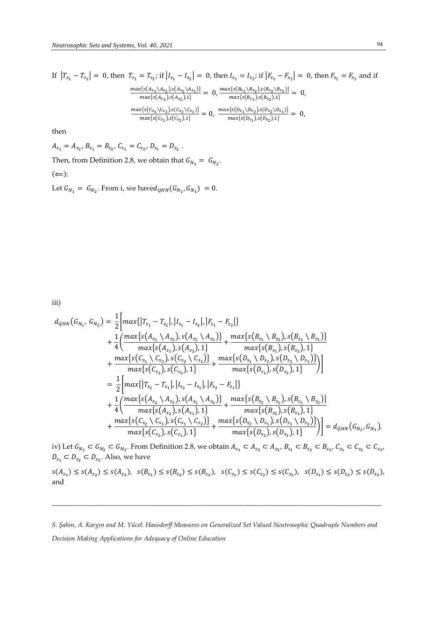If 
$$
|T_{s_1} - T_{s_2}| = 0
$$
, then  $T_{s_1} = T_{s_2}$ ; if  $|I_{s_1} - I_{s_2}| = 0$ , then  $I_{s_1} = I_{s_2}$ ; if  $|F_{s_1} - F_{s_2}| = 0$ , then  $F_{s_1} = F_{s_2}$  and if  
\n
$$
\frac{\max\{s(a_{s_1}\setminus a_{s_2})\cdot s(a_{s_2}\setminus a_{s_1})\}}{\max\{s(a_{s_1})\cdot s(a_{s_2})\cdot 1\}} = 0, \frac{\max\{s(b_{s_1}\setminus b_{s_2})\cdot s(b_{s_2}\setminus b_{s_1})\}}{\max\{s(b_{s_1}\setminus b_{s_2})\cdot 1\}} = 0,
$$
\n
$$
\frac{\max\{s(c_{s_1}\setminus c_{s_2})\cdot s(c_{s_2}\setminus c_{s_1})\}}{\max\{s(c_{s_1})\cdot s(c_{s_2})\cdot 1\}} = 0, \frac{\max\{s(b_{s_1}\setminus b_{s_2})\cdot s(b_{s_2}\setminus b_{s_1})\}}{\max\{s(b_{s_1})\cdot s(b_{s_2})\cdot 1\}} = 0,
$$

then

 $A_{s_1} = A_{s_2}, B_{s_1} = B_{s_2}, C_{s_1} = C_{s_2}, D_{s_1} = D_{s_2}.$ Then, from Definition 2.8, we obtain that  $G_{N_1} = G_{N_2}$ .  $(\Leftarrow):$ 

Let  $G_{N_1} = G_{N_2}$ . From i, we have  $d_{QHN}(G_{N_1}, G_{N_1}) = 0$ .

iii)

$$
d_{QHN}(G_{N_1}, G_{N_2}) = \frac{1}{2} \Big[ max\{|T_{s_1} - T_{s_2}|, |I_{s_1} - I_{s_2}|, |F_{s_1} - F_{s_2}|\}\n+ \frac{1}{4} \Big( \frac{max\{s(A_{s_1} \setminus A_{s_2}), s(A_{s_2} \setminus A_{s_1})\}}{max\{s(A_{s_1}), s(A_{s_2}), 1\}} + \frac{max\{s(B_{s_1} \setminus B_{s_2}), s(B_{s_2} \setminus B_{s_1})\}}{max\{s(C_{s_1} \setminus C_{s_2}), s(C_{s_2} \setminus C_{s_1})\}}\n+ \frac{max\{s(C_{s_1} \setminus C_{s_2}), s(C_{s_2} \setminus C_{s_1})\}}{max\{s(C_{s_1}), s(C_{s_2}), 1\}} + \frac{max\{s(D_{s_1} \setminus D_{s_2}), s(D_{s_2} \setminus D_{s_1})\}}{max\{s(D_{s_1}), s(D_{s_2}), 1\}}\Big]
$$
\n
$$
= \frac{1}{2} \Big[ max\{|T_{s_2} - T_{s_1}|, |I_{s_2} - I_{s_1}|, |F_{s_2} - F_{s_1}|\}
$$
\n+ 
$$
\frac{max\{s(A_{s_2} \setminus A_{s_1}), s(A_{s_1} \setminus A_{s_2})\}}{max\{s(A_{s_2}), s(A_{s_1}), 1\}} + \frac{max\{s(B_{s_2} \setminus B_{s_1}), s(B_{s_1} \setminus B_{s_2})\}}{max\{s(C_{s_2} \setminus C_{s_1}), s(C_{s_1} \setminus C_{s_2})\}}\Big]
$$
\n+ 
$$
\frac{max\{s(C_{s_2} \setminus C_{s_1}), s(C_{s_1} \setminus C_{s_2})\}}{max\{s(C_{s_2}, S_{s_1}), 1\}} + \frac{max\{s(D_{s_2} \setminus D_{s_1}), s(D_{s_1} \setminus D_{s_2})\}}{max\{s(D_{s_2}), s(D_{s_1}, 1)\}}\Big] = d_{QHN}(G_{N_2}, G_{N_1}).
$$

iv) Let  $G_{N_1} \subset G_{N_2} \subset G_{N_3}$ . From Definition 2.8, we obtain  $A_{s_1} \subset A_{s_2} \subset A_{s_3}$ ,  $B_{s_1} \subset B_{s_2} \subset B_{s_3}$ ,  $C_{s_1} \subset C_{s_2} \subset C_{s_3}$ ,  $D_{s_1} \subset D_{s_2} \subset D_{s_3}$ . Also, we have

 $s(A_{s_1}) \leq s(A_{s_2}) \leq s(A_{s_3}), \quad s(B_{s_1}) \leq s(B_{s_2}) \leq s(B_{s_3}), \quad s(C_{s_1}) \leq s(C_{s_2}) \leq s(C_{s_3}), \quad s(D_{s_1}) \leq s(D_{s_2}) \leq s(D_{s_3}),$ and

*S. Şahin, A. Kargın and M. Yücel. Hausdorff Measures on Generalized Set Valued Neutrosophic Quadruple Numbers and Decision Making Applications for Adequacy of Online Education*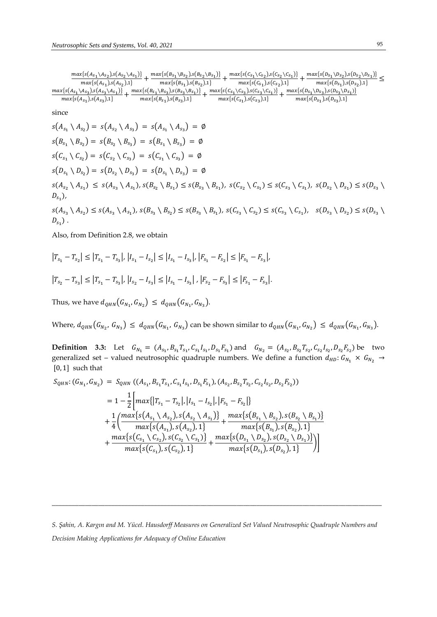$$
\frac{\max\{s(A_{\mathcal{S}_1}\setminus A_{\mathcal{S}_2}\setminus s(A_{\mathcal{S}_2}\setminus A_{\mathcal{S}_1})\}}{\max\{s(A_{\mathcal{S}_1}\setminus S(A_{\mathcal{S}_2}),S(A_{\mathcal{S}_2}\setminus A_{\mathcal{S}_1})\}}+\frac{\max\{s(B_{\mathcal{S}_1}\setminus B_{\mathcal{S}_2})_S(B_{\mathcal{S}_2}\setminus B_{\mathcal{S}_1})\}}{\max\{s(C_{\mathcal{S}_1}\setminus S(C_{\mathcal{S}_2}),1\}}+\frac{\max\{s(B_{\mathcal{S}_1}\setminus B_{\mathcal{S}_2})_S(B_{\mathcal{S}_2}\setminus B_{\mathcal{S}_1})\}}{\max\{s(C_{\mathcal{S}_1}\setminus S(C_{\mathcal{S}_2}),1\}}+\frac{\max\{s(D_{\mathcal{S}_1}\setminus B_{\mathcal{S}_2}\setminus B_{\mathcal{S}_1})\}}{\max\{s(A_{\mathcal{S}_1}\setminus S(B_{\mathcal{S}_1}\setminus B_{\mathcal{S}_2})_S\}}+\frac{\max\{s(C_{\mathcal{S}_1}\setminus S(C_{\mathcal{S}_2}\setminus B_{\mathcal{S}_1})\}}{\max\{s(D_{\mathcal{S}_1}\setminus S(B_{\mathcal{S}_1}\setminus B_{\mathcal{S}_2})_S\}}+\frac{\max\{s(C_{\mathcal{S}_1}\setminus S(B_{\mathcal{S}_1}\setminus B_{\mathcal{S}_2})_S(C_{\mathcal{S}_1}\setminus S_{\mathcal{S}_1})\}}{\max\{s(D_{\mathcal{S}_1}\setminus S(B_{\mathcal{S}_1}\setminus B_{\mathcal{S}_1})_S\}}+\frac{\max\{s(D_{\mathcal{S}_1}\setminus B_{\mathcal{S}_2}\setminus S_{\mathcal{S}_1})\}}{\max\{s(D_{\mathcal{S}_1}\setminus S(B_{\mathcal{S}_1}\setminus B_{\mathcal{S}_1})\}}+\frac{\max\{s(D_{\mathcal{S}_1}\setminus S(B_{\mathcal{S}_1}\setminus B_{\mathcal{S}_1})_S\}}{\max\{s(D_{\mathcal{S}_1}\setminus S(B_{\mathcal{S}_1}\setminus B_{\mathcal{S}_1})_S\}}+\frac{\max\{s(D_{\mathcal{S}_1}\
$$

since

 $s(A_{s_1} \setminus A_{s_2}) = s(A_{s_2} \setminus A_{s_3}) = s(A_{s_1} \setminus A_{s_3}) = \emptyset$  $s(B_{s_1} \setminus B_{s_2}) = s(B_{s_2} \setminus B_{s_3}) = s(B_{s_1} \setminus B_{s_3}) = \emptyset$  $s(C_{s_1} \setminus C_{s_2}) = s(C_{s_2} \setminus C_{s_3}) = s(C_{s_1} \setminus C_{s_3}) = \emptyset$  $s(D_{s_1} \setminus D_{s_2}) = s(D_{s_2} \setminus D_{s_3}) = s(D_{s_1} \setminus D_{s_3}) = \emptyset$  $s(A_{s_2} \setminus A_{s_1}) \leq s(A_{s_3} \setminus A_{s_1}), s(B_{s_2} \setminus B_{s_1}) \leq s(B_{s_3} \setminus B_{s_1}), s(C_{s_2} \setminus C_{s_1}) \leq s(C_{s_3} \setminus C_{s_1}), s(D_{s_2} \setminus D_{s_1}) \leq s(D_{s_3} \setminus D_{s_1})$  $D_{s_1}$ ),

 $s(A_{s_3} \setminus A_{s_2}) \leq s(A_{s_3} \setminus A_{s_1}), s(B_{s_3} \setminus B_{s_2}) \leq s(B_{s_3} \setminus B_{s_1}), s(C_{s_3} \setminus C_{s_2}) \leq s(C_{s_3} \setminus C_{s_1}), s(D_{s_3} \setminus D_{s_2}) \leq s(D_{s_3} \setminus D_{s_3})$  $D_{s_1}$ ).

Also, from Definition 2.8, we obtain

$$
\begin{aligned} \left|T_{s_1}-T_{s_2}\right| &\leq \left|T_{s_1}-T_{s_3}\right|,\,\left|I_{s_1}-I_{s_2}\right| \leq \left|I_{s_1}-I_{s_3}\right|,\,\left|F_{s_1}-F_{s_2}\right| \leq \left|F_{s_1}-F_{s_3}\right|,\\ \left|T_{s_2}-T_{s_3}\right| &\leq \left|T_{s_1}-T_{s_3}\right|,\,\left|I_{s_2}-I_{s_3}\right| \leq \left|I_{s_1}-I_{s_3}\right|,\,\left|F_{s_2}-F_{s_3}\right| \leq \left|F_{s_1}-F_{s_3}\right|.\end{aligned}
$$

Thus, we have  $d_{QHN}(G_{N_1}, G_{N_2}) \leq d_{QHN}(G_{N_1}, G_{N_3}).$ 

Where,  $d_{QHN}(G_{N_2}, G_{N_3}) \leq d_{QHN}(G_{N_1}, G_{N_3})$  can be shown similar to  $d_{QHN}(G_{N_1}, G_{N_2}) \leq d_{QHN}(G_{N_1}, G_{N_3})$ .

**Definition** 3.3: Let  $G_{N_1} = (A_{s_1}, B_{s_1}T_{s_1}, C_{s_1}I_{s_1}, D_{s_1}F_{s_1})$  and  $G_{N_2} = (A_{s_2}, B_{s_2}T_{s_2}, C_{s_2}I_{s_2}, D_{s_2}F_{s_2})$  be two generalized set – valued neutrosophic quadruple numbers. We define a function  $d_{HD}: G_{N_1} \times G_{N_2} \rightarrow$  $[0, 1]$  such that

$$
S_{QHN}: (G_{N_1}, G_{N_2}) = S_{QHN} ((A_{s_1}, B_{s_1}T_{s_1}, C_{s_1}I_{s_1}, D_{s_1}F_{s_1}), (A_{s_2}, B_{s_2}T_{s_2}, C_{s_2}I_{s_2}, D_{s_2}F_{s_2}))
$$
  
\n
$$
= 1 - \frac{1}{2} \Big[ max \{ |T_{s_1} - T_{s_2}|, |I_{s_1} - I_{s_2}|, |F_{s_1} - F_{s_2}| \} + \frac{1}{4} \Big( \frac{max \{ s(A_{s_1} \setminus A_{s_2}), s(A_{s_2} \setminus A_{s_1}) \} + max \{ s(B_{s_1} \setminus B_{s_2}), s(B_{s_2} \setminus B_{s_1}) \} + max \{ s(C_{s_1} \setminus C_{s_2}), s(C_{s_2} \setminus C_{s_1}) \} + max \{ s(C_{s_1} \setminus C_{s_2}), s(C_{s_2} \setminus C_{s_1}) \} + max \{ s(C_{s_1} \setminus D_{s_2}), s(D_{s_2} \setminus D_{s_1}) \} \Big)
$$

*S. Şahin, A. Kargın and M. Yücel. Hausdorff Measures on Generalized Set Valued Neutrosophic Quadruple Numbers and Decision Making Applications for Adequacy of Online Education*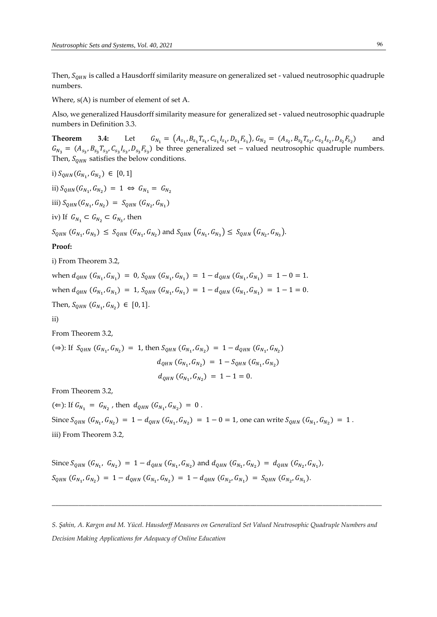Then,  $S_{OHN}$  is called a Hausdorff similarity measure on generalized set - valued neutrosophic quadruple numbers.

Where, s(A) is number of element of set A.

Also, we generalized Hausdorff similarity measure for generalized set - valued neutrosophic quadruple numbers in Definition 3.3.

**Theorem 3.4:** Let  $G_{N_1} = (A_{s_1}, B_{s_1}T_{s_1}, C_{s_1}I_{s_1}, D_{s_1}F_{s_1}), G_{N_2} = (A_{s_2}, B_{s_2}T_{s_2}, C_{s_2}I_{s_2}, D_{s_2}F_{s_2})$ ) and  $G_{N_3} = (A_{s_3}, B_{s_3}T_{s_3}, C_{s_3}I_{s_3}, D_{s_3}F_{s_3})$  be three generalized set – valued neutrosophic quadruple numbers. Then,  $S_{OHN}$  satisfies the below conditions.

i)  $S_{QHN}(G_{N_1}, G_{N_2}) \in [0, 1]$ ii)  $S_{QHN}(G_{N_1}, G_{N_2}) = 1 \Leftrightarrow G_{N_1} = G_{N_2}$ iii)  $S_{QHN}(G_{N_1}, G_{N_2}) = S_{QHN}(G_{N_2}, G_{N_1})$ iv) If  $G_{N_1} \subset G_{N_2} \subset G_{N_3}$ , then  $S_{QHN}$   $(G_{N_1}, G_{N_3}) \leq S_{QHN}$   $(G_{N_1}, G_{N_2})$  and  $S_{QHN}$   $(G_{N_1}, G_{N_3}) \leq S_{QHN}$   $(G_{N_2}, G_{N_3})$ . **Proof:**

i) From Theorem 3.2,

when  $d_{QHN}$   $(G_{N_1}, G_{N_1}) = 0$ ,  $S_{QHN}$   $(G_{N_1}, G_{N_1}) = 1 - d_{QHN}$   $(G_{N_1}, G_{N_1}) = 1 - 0 = 1$ . when  $d_{QHN}$   $(G_{N_1}, G_{N_1}) = 1$ ,  $S_{QHN}$   $(G_{N_1}, G_{N_1}) = 1 - d_{QHN}$   $(G_{N_1}, G_{N_1}) = 1 - 1 = 0$ . Then,  $S_{QHN}$   $(G_{N_1}, G_{N_2}) \in [0, 1].$ 

ii)

From Theorem 3.2,

$$
\text{(a): If } S_{QHN} \left( G_{N_1}, G_{N_2} \right) = 1 \text{, then } S_{QHN} \left( G_{N_1}, G_{N_2} \right) = 1 - d_{QHN} \left( G_{N_1}, G_{N_2} \right)
$$
\n
$$
d_{QHN} \left( G_{N_1}, G_{N_2} \right) = 1 - S_{QHN} \left( G_{N_1}, G_{N_2} \right)
$$
\n
$$
d_{QHN} \left( G_{N_1}, G_{N_2} \right) = 1 - 1 = 0.
$$

From Theorem 3.2,

(∈): If  $G_{N_1} = G_{N_2}$ , then  $d_{QHN} (G_{N_1}, G_{N_2}) = 0$ . Since  $S_{QHN}$  ( $G_{N_1}, G_{N_2}$ ) = 1 –  $d_{QHN}$  ( $G_{N_1}, G_{N_2}$ ) = 1 – 0 = 1, one can write  $S_{QHN}$  ( $G_{N_1}, G_{N_2}$ ) = 1. iii) From Theorem 3.2,

Since 
$$
S_{QHN} (G_{N_1}, G_{N_2}) = 1 - d_{QHN} (G_{N_1}, G_{N_2})
$$
 and  $d_{QHN} (G_{N_1}, G_{N_2}) = d_{QHN} (G_{N_2}, G_{N_1})$ ,  
\n $S_{QHN} (G_{N_1}, G_{N_2}) = 1 - d_{QHN} (G_{N_1}, G_{N_2}) = 1 - d_{QHN} (G_{N_2}, G_{N_1}) = S_{QHN} (G_{N_2}, G_{N_1})$ .

*S. Şahin, A. Kargın and M. Yücel. Hausdorff Measures on Generalized Set Valued Neutrosophic Quadruple Numbers and Decision Making Applications for Adequacy of Online Education*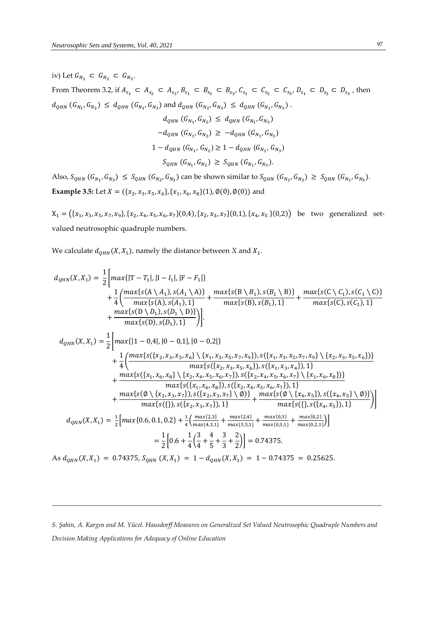iv) Let  $G_{N_1} \subset G_{N_2} \subset G_{N_3}$ . From Theorem 3.2, if  $A_{s_1} \subset A_{s_2} \subset A_{s_3}$ ,  $B_{s_1} \subset B_{s_2} \subset B_{s_3}$ ,  $C_{s_1} \subset C_{s_2} \subset C_{s_3}$ ,  $D_{s_1} \subset D_{s_2} \subset D_{s_3}$ , then  $d_{QHN} (G_{N_1}, G_{N_2}) \leq d_{QHN} (G_{N_1}, G_{N_3})$  and  $d_{QHN} (G_{N_2}, G_{N_3}) \leq d_{QHN} (G_{N_1}, G_{N_3})$ .  $d_{QHN} (G_{N_1}, G_{N_2}) \leq d_{QHN} (G_{N_1}, G_{N_3})$  $-d_{QHN} (G_{N_1}, G_{N_2}) \geq -d_{QHN} (G_{N_1}, G_{N_3})$  $1 - d_{QHN} (G_{N_1}, G_{N_2}) \ge 1 - d_{QHN} (G_{N_1}, G_{N_3})$  $S_{QHN}$  ( $G_{N_1}, G_{N_2}$ )  $\geq S_{QHN}$  ( $G_{N_1}, G_{N_3}$ ).

Also,  $S_{QHN}$  ( $G_{N_1}, G_{N_3}$ )  $\leq S_{QHN}$  ( $G_{N_2}, G_{N_3}$ ) can be shown similar to  $S_{QHN}$  ( $G_{N_1}, G_{N_2}$ )  $\geq S_{QHN}$  ( $G_{N_1}, G_{N_3}$ ). **Example 3.5:** Let  $X = (\{x_2, x_3, x_5, x_6\}, \{x_1, x_6, x_8\}(1), \emptyset(0), \emptyset(0))$  and

 $X_1 = (\{x_1, x_3, x_5, x_7, x_9\}, \{x_2, x_4, x_5, x_6, x_7\} (0,4), \{x_2, x_3, x_7\} (0,1), \{x_4, x_5\} (0,2))$  be two generalized setvalued neutrosophic quadruple numbers.

We calculate  $d_{QHN}(X, X_1)$ , namely the distance between  $X$  and  $X_1$ .

$$
d_{QHN}(X, X_1) = \frac{1}{2} \Big[ max\{ |T - T_1|, |T - I_1|, |F - F_1| \} + \frac{1}{4} \Big( \frac{max\{s(A \setminus A_1), s(A_1 \setminus A)\}}{max\{s(B), s(A_1), 1\}} + \frac{max\{s(B \setminus B_1), s(B_1 \setminus B)\}}{max\{s(B), s(B_1), 1\}} + \frac{max\{s(C \setminus C_1), s(C_1 \setminus C)\}}{max\{s(D), s(D_1, 1\}} \Big) \Big]
$$
\n
$$
d_{QHN}(X, X_1) = \frac{1}{2} \Big[ max\{ |1 - 0, 4|, |0 - 0, 1|, |0 - 0, 2| \} + \frac{1}{4} \Big( \frac{max\{s([x_2, x_3, x_5, x_6] \setminus \{x_1, x_3, x_5, x_7, x_9\}\}, s([x_1, x_3, x_5, x_7, x_9]) , s([x_1, x_3, x_5, x_7, x_9] \setminus \{x_2, x_3, x_5, x_6\}) \}}{max\{s([x_1, x_6, x_8] \setminus \{x_2, x_4, x_5, x_6, x_7\}), s([x_2, x_4, x_5, x_6, x_7] \setminus \{x_1, x_6, x_8\}) \}} + \frac{max\{s([x_1, x_6, x_8] \setminus \{x_2, x_4, x_5, x_6, x_7\}), s([x_2, x_4, x_5, x_6, x_7] \setminus \{x_1, x_6, x_8\}) \}}{max\{s([x_1, x_6, x_8]), s([x_2, x_3, x_7]) \setminus \emptyset \}} + \frac{max\{s(Q \setminus \{x_4, x_5, x_6, x_7\}), s([x_2, x_4, x_5, x_6, x_7]) , 1 \}}{max\{s([x_3, x_4, x_5, x_6, x_7]) , 1 \}} + \frac{max\{s(Q \setminus \{x_4, x_5\}), s([x_2, x_4, x_5, x_6, x_7]) , 1 \}}{max\{s([x_3, x_4, x_5
$$

*S. Şahin, A. Kargın and M. Yücel. Hausdorff Measures on Generalized Set Valued Neutrosophic Quadruple Numbers and Decision Making Applications for Adequacy of Online Education*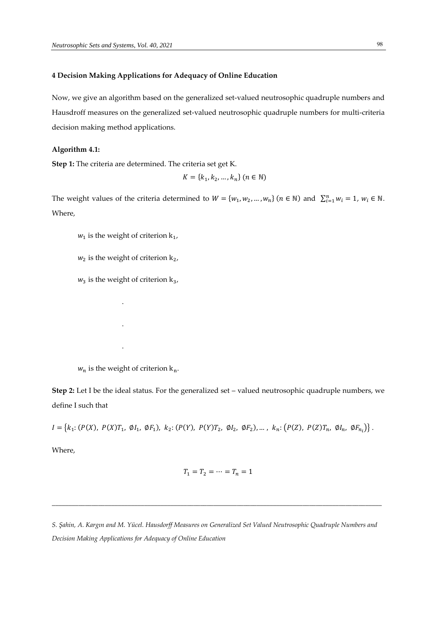#### **4 Decision Making Applications for Adequacy of Online Education**

Now, we give an algorithm based on the generalized set-valued neutrosophic quadruple numbers and Hausdroff measures on the generalized set-valued neutrosophic quadruple numbers for multi-criteria decision making method applications.

#### **Algorithm 4.1:**

**Step 1:** The criteria are determined. The criteria set get K.

$$
K=\left\{k_1,k_2,\ldots,k_n\right\}\left(n\in\mathbb{N}\right)
$$

The weight values of the criteria determined to  $W = \{w_1, w_2, ..., w_n\}$   $(n \in \mathbb{N})$  and  $\sum_{i=1}^{n} w_i = 1$ ,  $w_i \in \mathbb{N}$ . Where,

 $w_1$  is the weight of criterion  $k_1$ ,

 $w_2$  is the weight of criterion  $k_2$ ,

 $w_3$  is the weight of criterion  $k_3$ ,

.

.

.

 $w_n$  is the weight of criterion  $k_n$ .

**Step 2:** Let I be the ideal status. For the generalized set – valued neutrosophic quadruple numbers, we define I such that

 $I = \{k_1: (P(X), P(X)T_1, \emptyset I_1, \emptyset F_1), k_2: (P(Y), P(Y)T_2, \emptyset I_2, \emptyset F_2), ..., k_n: (P(Z), P(Z)T_n, \emptyset I_n, \emptyset F_{n_i})\}\.$ 

Where,

$$
T_1=T_2=\cdots=T_n=1
$$

*S. Şahin, A. Kargın and M. Yücel. Hausdorff Measures on Generalized Set Valued Neutrosophic Quadruple Numbers and Decision Making Applications for Adequacy of Online Education*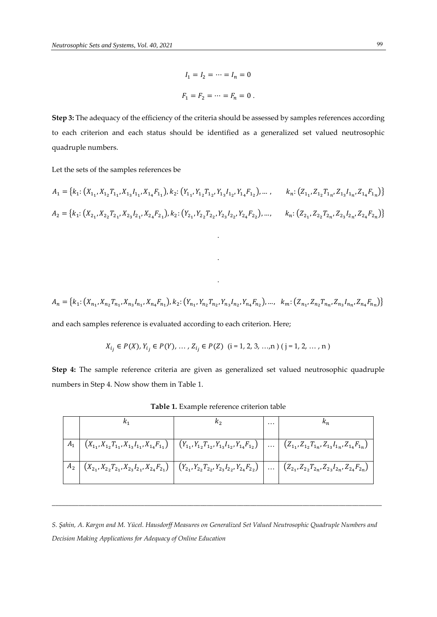$$
I_1 = I_2 = \dots = I_n = 0
$$
  

$$
F_1 = F_2 = \dots = F_n = 0.
$$

**Step 3:** The adequacy of the efficiency of the criteria should be assessed by samples references according to each criterion and each status should be identified as a generalized set valued neutrosophic quadruple numbers.

Let the sets of the samples references be

$$
A_1 = \{k_1: (X_{1_1}, X_{1_2}T_{1_1}, X_{1_3}I_{1_1}, X_{1_4}F_{1_1}), k_2: (Y_{1_1}, Y_{1_2}T_{1_2}, Y_{1_3}I_{1_2}, Y_{1_4}F_{1_2}), \dots, k_n: (Z_{1_1}, Z_{1_2}T_{1_n}, Z_{1_3}I_{1_n}, Z_{1_4}F_{1_n})\}
$$
  

$$
A_2 = \{k_1: (X_{2_1}, X_{2_2}T_{2_1}, X_{2_3}I_{2_1}, X_{2_4}F_{2_1}), k_2: (Y_{2_1}, Y_{2_2}T_{2_2}, Y_{2_3}I_{2_2}, Y_{2_4}F_{2_2}), \dots, k_n: (Z_{2_1}, Z_{2_2}T_{2_n}, Z_{2_3}I_{2_n}, Z_{2_4}F_{2_n})\}
$$

.

.

.

$$
A_n = \{k_1: (X_{n_1}, X_{n_2}T_{n_1}, X_{n_3}I_{n_1}, X_{n_4}F_{n_1}), k_2: (Y_{n_1}, Y_{n_2}T_{n_2}, Y_{n_3}I_{n_2}, Y_{n_4}F_{n_2}), \dots, k_m: (Z_{n_1}, Z_{n_2}T_{n_n}, Z_{n_3}I_{n_n}, Z_{n_4}F_{n_n})\}
$$

and each samples reference is evaluated according to each criterion. Here;

$$
X_{i_j} \in P(X), Y_{i_j} \in P(Y), \dots, Z_{i_j} \in P(Z) \ (i = 1, 2, 3, \dots, n) \ (j = 1, 2, \dots, n)
$$

**Step 4:** The sample reference criteria are given as generalized set valued neutrosophic quadruple numbers in Step 4. Now show them in Table 1.

| $\boxed{A_1 \mid (X_{1_1}, X_{1_2}T_{1_1}, X_{1_3}I_{1_1}, X_{1_4}F_{1_1}) \mid (Y_{1_1}, Y_{1_2}T_{1_2}, Y_{1_3}I_{1_2}, Y_{1_4}F_{1_2}) \mid  \mid (Z_{1_1}, Z_{1_2}T_{1_n}, Z_{1_3}I_{1_n}, Z_{1_4}F_{1_n})}$           |  |  |
|----------------------------------------------------------------------------------------------------------------------------------------------------------------------------------------------------------------------------|--|--|
|                                                                                                                                                                                                                            |  |  |
| $\overline{A_2\mid (X_{2_1},X_{2_2}T_{2_1},X_{2_3}I_{2_1},X_{2_4}F_{2_1})\mid (Y_{2_1},Y_{2_2}T_{2_2},Y_{2_3}I_{2_2},Y_2\!\!\!\downarrow F_{2_2})\mid \ldots \mid (Z_{2_1},Z_{2_2}T_{2_n},Z_{2_3}I_{2_n},Z_{2_4}F_{2_n})}$ |  |  |
|                                                                                                                                                                                                                            |  |  |

**Table 1.** Example reference criterion table

*S. Şahin, A. Kargın and M. Yücel. Hausdorff Measures on Generalized Set Valued Neutrosophic Quadruple Numbers and Decision Making Applications for Adequacy of Online Education*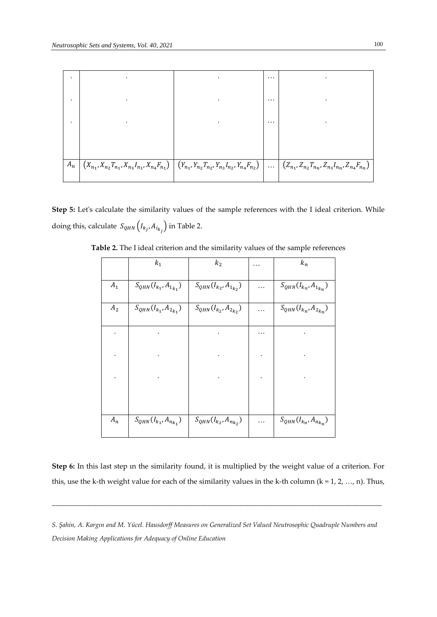|       |                                                                                                                                                                                                 | $\cdots$ |   |
|-------|-------------------------------------------------------------------------------------------------------------------------------------------------------------------------------------------------|----------|---|
|       |                                                                                                                                                                                                 | $\cdots$ |   |
|       |                                                                                                                                                                                                 | $\cdots$ | ٠ |
|       |                                                                                                                                                                                                 |          |   |
| $A_n$ | $(X_{n_1}, X_{n_2}T_{n_1}, X_{n_3}I_{n_1}, X_{n_4}F_{n_1}) \mid (Y_{n_1}, Y_{n_2}T_{n_2}, Y_{n_3}I_{n_2}, Y_{n_4}F_{n_2}) \mid  \mid (Z_{n_1}, Z_{n_2}T_{n_1}, Z_{n_3}I_{n_1}, Z_{n_4}F_{n_1})$ |          |   |

Step 5: Let's calculate the similarity values of the sample references with the I ideal criterion. While doing this, calculate  $S_{QHN}$   $\left (I_{k_j}, A_{i_{k_j}} \right )$  in Table 2.

|                  | $k_1$                           | k <sub>2</sub>                  |          | $k_n$                           |
|------------------|---------------------------------|---------------------------------|----------|---------------------------------|
|                  |                                 |                                 |          |                                 |
| ${\cal A}_1$     | $S_{QHN}(I_{k_1},A_{1_{k_1}})$  | $S_{QHN}(I_{k_2}, A_{1_{k_2}})$ | $\cdots$ | $S_{QHN}(I_{k_n}, A_{1_{k_n}})$ |
| A <sub>2</sub>   | $S_{QHN}(I_{k_1},A_{2_{k_1}})$  | $S_{QHN}(I_{k_2},A_{2_{k_2}})$  | .        | $S_{QHN}(I_{k_n},A_{2_{k_n}})$  |
|                  |                                 |                                 | .        |                                 |
|                  |                                 |                                 |          |                                 |
|                  |                                 |                                 |          |                                 |
|                  |                                 |                                 |          |                                 |
| $\mathfrak{A}_n$ | $S_{QHN}(I_{k_1}, A_{n_{k_1}})$ | $S_{QHN}(I_{k_2}, A_{n_{k_2}})$ | $\cdots$ | $S_{QHN}(I_{k_n}, A_{n_{k_n}})$ |

**Table 2.** The I ideal criterion and the similarity values of the sample references

**Step 6:** In this last step ın the similarity found, it is multiplied by the weight value of a criterion. For this, use the k-th weight value for each of the similarity values in the k-th column ( $k = 1, 2, ..., n$ ). Thus,

*S. Şahin, A. Kargın and M. Yücel. Hausdorff Measures on Generalized Set Valued Neutrosophic Quadruple Numbers and Decision Making Applications for Adequacy of Online Education*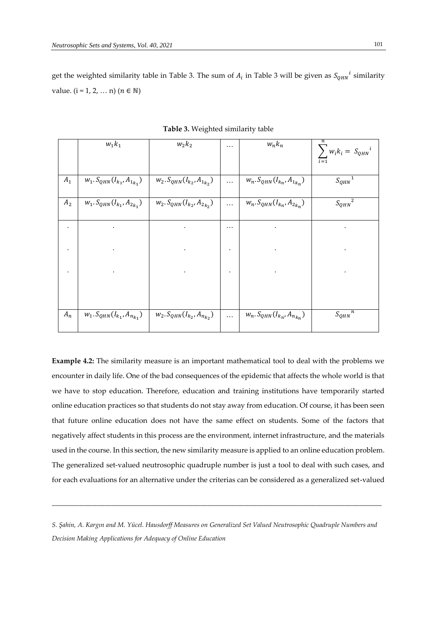get the weighted similarity table in Table 3. The sum of  $A_i$  in Table 3 will be given as  $S_{QHN}{}^i$  similarity value.  $(i = 1, 2, ... n)$   $(n \in \mathbb{N})$ 

|                | $w_1k_1$                            | $w_2k_2$                             | $\cdots$  | $w_n k_n$                            | $\sum w_i k_i = S_{QHN}^i$<br>$i=1$           |
|----------------|-------------------------------------|--------------------------------------|-----------|--------------------------------------|-----------------------------------------------|
| ${\cal A}_1$   | $W_1.S_{QHN}(I_{k_1}, A_{1_{k_1}})$ | $W_2.S_{QHN}(I_{k_2}, A_{1_{k_2}})$  | $\cdots$  | $W_n. S_{QHN}(I_{k_n}, A_{1_{k_n}})$ | $S_{QHN}^{\quad \  1}$                        |
| A <sub>2</sub> | $W_1.S_{QHN}(I_{k_1}, A_{2_{k_1}})$ | $W_2. S_{QHN}(I_{k_2}, A_{2_{k_2}})$ | $\cdots$  | $w_n.S_{QHN}(I_{k_n}, A_{2_{k_n}})$  | $S_{QHN}^{\qquad 2}$                          |
|                |                                     |                                      | .         |                                      |                                               |
|                |                                     |                                      | $\bullet$ |                                      |                                               |
|                | $\bullet$                           | $\bullet$                            | $\bullet$ | $\bullet$                            | $\bullet$                                     |
| $A_n$          | $W_1.S_{QHN}(I_{k_1}, A_{n_{k_1}})$ | $W_2. S_{QHN}(I_{k_2}, A_{n_{k_2}})$ | $\cdots$  | $W_n. S_{QHN}(I_{k_n}, A_{n_{k_n}})$ | $S_{QHN}$ <sup><math>\frac{n}{n}</math></sup> |

**Table 3.** Weighted similarity table

**Example 4.2:** The similarity measure is an important mathematical tool to deal with the problems we encounter in daily life. One of the bad consequences of the epidemic that affects the whole world is that we have to stop education. Therefore, education and training institutions have temporarily started online education practices so that students do not stay away from education. Of course, it has been seen that future online education does not have the same effect on students. Some of the factors that negatively affect students in this process are the environment, internet infrastructure, and the materials used in the course. In this section, the new similarity measure is applied to an online education problem. The generalized set-valued neutrosophic quadruple number is just a tool to deal with such cases, and for each evaluations for an alternative under the criterias can be considered as a generalized set-valued

*S. Şahin, A. Kargın and M. Yücel. Hausdorff Measures on Generalized Set Valued Neutrosophic Quadruple Numbers and Decision Making Applications for Adequacy of Online Education*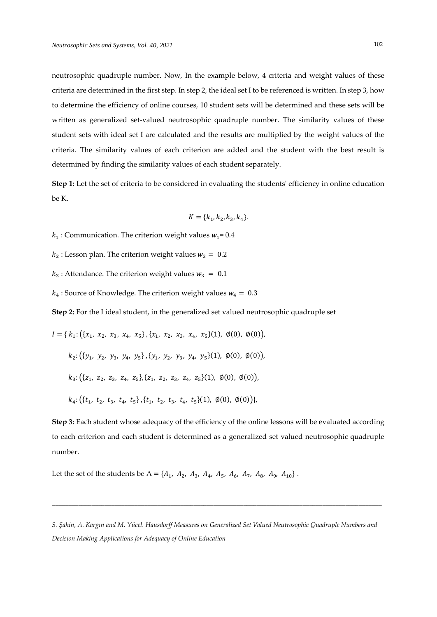neutrosophic quadruple number. Now, In the example below, 4 criteria and weight values of these criteria are determined in the first step. In step 2, the ideal set I to be referenced is written. In step 3, how to determine the efficiency of online courses, 10 student sets will be determined and these sets will be written as generalized set-valued neutrosophic quadruple number. The similarity values of these student sets with ideal set I are calculated and the results are multiplied by the weight values of the criteria. The similarity values of each criterion are added and the student with the best result is determined by finding the similarity values of each student separately.

**Step 1:** Let the set of criteria to be considered in evaluating the students' efficiency in online education be K.

$$
K = \{k_1, k_2, k_3, k_4\}.
$$

 $k_1$ : Communication. The criterion weight values  $w_1$ = 0.4

 $k_2$ : Lesson plan. The criterion weight values  $w_2 = 0.2$ 

 $k_3$ : Attendance. The criterion weight values  $w_3 = 0.1$ 

 $k_4$ : Source of Knowledge. The criterion weight values  $w_4 = 0.3$ 

**Step 2:** For the I ideal student, in the generalized set valued neutrosophic quadruple set

$$
I = \{ k_1: (\{x_1, x_2, x_3, x_4, x_5\}, \{x_1, x_2, x_3, x_4, x_5\}(1), \emptyset(0), \emptyset(0)),
$$
  
\n
$$
k_2: (\{y_1, y_2, y_3, y_4, y_5\}, \{y_1, y_2, y_3, y_4, y_5\}(1), \emptyset(0), \emptyset(0)),
$$
  
\n
$$
k_3: (\{z_1, z_2, z_3, z_4, z_5\}, \{z_1, z_2, z_3, z_4, z_5\}(1), \emptyset(0), \emptyset(0)),
$$
  
\n
$$
k_4: (\{t_1, t_2, t_3, t_4, t_5\}, \{t_1, t_2, t_3, t_4, t_5\}(1), \emptyset(0), \emptyset(0))\},
$$

**Step 3:** Each student whose adequacy of the efficiency of the online lessons will be evaluated according to each criterion and each student is determined as a generalized set valued neutrosophic quadruple number.

Let the set of the students be  $A = \{A_1, A_2, A_3, A_4, A_5, A_6, A_7, A_8, A_9, A_{10}\}\.$ 

*S. Şahin, A. Kargın and M. Yücel. Hausdorff Measures on Generalized Set Valued Neutrosophic Quadruple Numbers and Decision Making Applications for Adequacy of Online Education*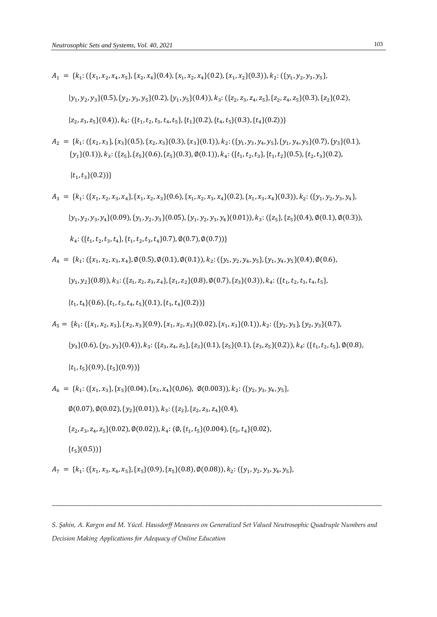- $A_1 = \{k_1: (\{x_1, x_2, x_4, x_5\}, \{x_2, x_4\}(0.4), \{x_1, x_2, x_4\}(0.2), \{x_1, x_2\}(0.3)), k_2: (\{y_1, y_2, y_3, y_5\},\$  ${y_1, y_2, y_3}(0.5), {y_2, y_3, y_5}(0.2), {y_1, y_5}(0.4)), k_3: ({z_2, z_3, z_4, z_5}, {z_2, z_4, z_5}(0.3), {z_2}(0.2),$  $\{z_2,z_3,z_5\}(0.4))$ ,  $k_4$ :  $(\{t_1,t_2,t_3,t_4,t_5\},\{t_1\}(0.2),\{t_4,t_5\}(0.3),\{t_4\}(0.2))\}$
- $A_2 = \{k_1: (\{x_2, x_3\}, \{x_3\}(0.5), \{x_2, x_3\}(0.3), \{x_3\}(0.1)), k_2: (\{y_1, y_3, y_4, y_5\}, \{y_1, y_4, y_5\}(0.7), \{y_3\}(0.1),$  $\{y_1\}(0.1)$ ),  $k_3$ :  $(\{z_5\}, \{z_5\}(0.6), \{z_5\}(0.3), \emptyset(0.1))$ ,  $k_4$ :  $(\{t_1, t_2, t_3\}, \{t_1, t_2\}(0.5), \{t_2, t_3\}(0.2))$  $\{t_1, t_3\}(0.2))\}$
- $A_3 = \{k_1: (\{x_1, x_2, x_3, x_4\}, \{x_1, x_2, x_3\}(0.6), \{x_1, x_2, x_3, x_4\}(0.2), \{x_1, x_3, x_4\}(0.3)), k_2: (\{y_1, y_2, y_3, y_4\}, \{y_2, y_4\}, \{y_3, y_4\})$  $\{y_1,y_2,y_3,y_4\}(0.09)$ ,  $\{y_1,y_2,y_3\}(0.05)$ ,  $\{y_1,y_2,y_3,y_4\}(0.01)$ ),  $k_3$ :  $(\{z_5\},\{z_5\}(0.4)$ ,  $\emptyset(0.1)$ ,  $\emptyset(0.3)$ ),  $k_4$ :  $({t_1, t_2, t_3, t_4}, {t_1, t_2, t_3, t_4}$ , 0.7),  $\emptyset$ (0.7),  $\emptyset$ (0.7))}

$$
A_4 = \{k_1: (\{x_1, x_2, x_3, x_4\}, \emptyset(0.5), \emptyset(0.1), \emptyset(0.1)), k_2: (\{y_1, y_2, y_4, y_5\}, \{y_1, y_4, y_5\}(0.4), \emptyset(0.6), (y_1, y_2\}(0.8)), k_3: (\{z_1, z_2, z_3, z_4\}, \{z_1, z_2\}(0.8), \emptyset(0.7), \{z_3\}(0.3)), k_4: (\{t_1, t_2, t_3, t_4, t_5\}, (t_1, t_4\}(0.6), \{t_1, t_3, t_4, t_5\}(0.1), \{t_1, t_4\}(0.2))\}
$$

$$
A_5 = \{k_1: (\{x_1, x_2, x_3\}, \{x_2, x_3\}(0.9), \{x_1, x_2, x_3\}(0.02), \{x_1, x_3\}(0.1)), k_2: (\{y_2, y_3\}, \{y_2, y_3\}(0.7),
$$
  

$$
\{y_3\}(0.6), \{y_2, y_3\}(0.4)), k_3: (\{z_3, z_4, z_5\}, \{z_3\}(0.1), \{z_5\}(0.1), \{z_3, z_5\}(0.2)), k_4: (\{t_1, t_2, t_5\}, \emptyset(0.8),
$$
  

$$
\{t_1, t_5\}(0.9), \{t_5\}(0.9))\}
$$

$$
A_6 = \{k_1: (\{x_1, x_3\}, \{x_5\}(0.04), \{x_3, x_4\}(0.06), \emptyset(0.003)), k_2: (\{y_2, y_3, y_4, y_5\},
$$

 $\emptyset(0.07),\emptyset(0.02),\{y_2\}(0.01)), k_3\!\!: \{(z_2),\{z_2,z_3,z_4\}(0.4),$ 

 $\{z_2, z_3, z_4, z_5\}(0.02), \emptyset(0.02)), k_4\colon (\emptyset, \{t_1, t_5\}(0.004), \{t_3, t_4\}(0.02)),$ 

 $\{t_5\}(0.5))\}$ 

$$
A_7 = \{k_1: (\{x_1, x_3, x_4, x_5\}, \{x_5\}(0.9), \{x_5\}(0.8), \emptyset(0.08)), k_2: (\{y_1, y_2, y_3, y_4, y_5\},
$$

*S. Şahin, A. Kargın and M. Yücel. Hausdorff Measures on Generalized Set Valued Neutrosophic Quadruple Numbers and Decision Making Applications for Adequacy of Online Education*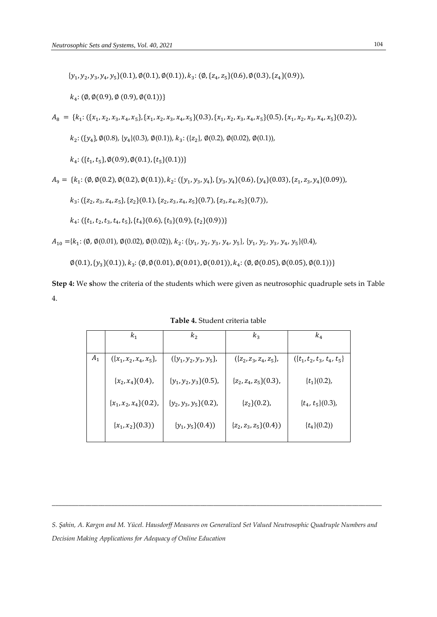$\{y_1,y_2,y_3,y_4,y_5\}(0.1)$ ,  $\emptyset(0.1)$ ,  $\emptyset(0.1)$ ),  $k_3$ :  $(\emptyset,\{z_4,z_5\}(0.6)$ ,  $\emptyset(0.3)$ ,  $\{z_4\}(0.9)$ ),

 $k_4$ : (Ø, Ø(0.9), Ø (0.9), Ø(0.1))}

 $A_8 = \{k_1: (\{x_1, x_2, x_3, x_4, x_5\}, \{x_1, x_2, x_3, x_4, x_5\}(0.3), \{x_1, x_2, x_3, x_4, x_5\}(0.5), \{x_1, x_2, x_3, x_4, x_5\}(0.2)),$ 

 $k_2$ : ({y<sub>4</sub>}, Ø(0.8), {y<sub>4</sub>}(0.3), Ø(0.1)),  $k_3$ : ({z<sub>2</sub>}, Ø(0.2), Ø(0.02), Ø(0.1)),

 $k_4$ : ({ $t_1, t_5$ }, Ø(0.9), Ø(0.1), { $t_5$ }(0.1))}

$$
A_9 = \{k_1: (\emptyset, \emptyset(0.2), \emptyset(0.2), \emptyset(0.1)), k_2: (\{y_1, y_3, y_4\}, \{y_3, y_4\}(0.6), \{y_4\}(0.03), \{z_1, z_3, y_4\}(0.09)),
$$

 $k_3: (\{z_2, z_3, z_4, z_5\}, \{z_2\}(0.1), \{z_2, z_3, z_4, z_5\}(0.7), \{z_3, z_4, z_5\}(0.7)),$ 

 $k_4$ : ({t<sub>1</sub>, t<sub>2</sub>, t<sub>3</sub>, t<sub>4</sub>, t<sub>5</sub>}, {t<sub>4</sub>}(0.6), {t<sub>3</sub>}(0.9), {t<sub>2</sub>}(0.9))}

 $A_{10} = \{k_1: (\emptyset, \emptyset(0.01), \emptyset(0.02), \emptyset(0.02)), k_2: (\{y_1, y_2, y_3, y_4, y_5\}, \{y_1, y_2, y_3, y_4, y_5\}(0.4),$ 

 $\emptyset(0.1), \{y^{}_3\}(0.1)), k^{}_3\colon(\emptyset, \emptyset(0.01), \emptyset(0.01), \emptyset(0.01)), k^{}_4\colon(\emptyset, \emptyset(0.05), \emptyset(0.05), \emptyset(0.1))\}$ 

**Step 4:** We **s**how the criteria of the students which were given as neutrosophic quadruple sets in Table 4.

|       | k <sub>1</sub>           | k <sub>2</sub>             | $k_3$                      | $k_4$                         |
|-------|--------------------------|----------------------------|----------------------------|-------------------------------|
|       |                          |                            |                            |                               |
| $A_1$ | $({x_1, x_2, x_4, x_5},$ | $({y_1, y_2, y_3, y_5},$   | $({z_2,z_3,z_4,z_5},$      | $({t_1, t_2, t_3, t_4, t_5})$ |
|       | $\{x_2, x_4\}(0.4)$ ,    | $\{y_1, y_2, y_3\}(0.5)$ , | $\{z_2, z_4, z_5\}(0.3)$ , | $\{t_1\}(0.2)$ ,              |
|       | ${x_1, x_2, x_4}(0.2)$ , | $\{y_2, y_3, y_5\}(0.2)$ , | ${z_2}(0.2)$ ,             | $\{t_4, t_5\}(0.3)$ ,         |
|       | $\{x_1, x_2\}(0.3)$      | $\{y_1, y_5\}(0.4)$        | $\{z_2, z_3, z_5\}(0.4))$  | $\{t_4\}(0.2)$                |

**Table 4.** Student criteria table

*S. Şahin, A. Kargın and M. Yücel. Hausdorff Measures on Generalized Set Valued Neutrosophic Quadruple Numbers and Decision Making Applications for Adequacy of Online Education*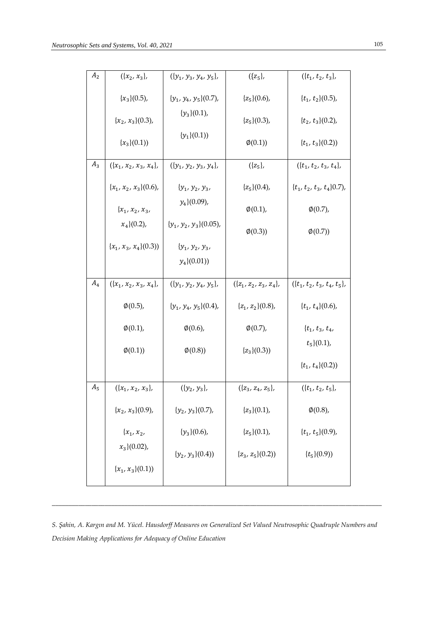| A <sub>2</sub> | $({x_2, x_3},$            | $({y_1, y_3, y_4, y_5}),$   | $({z_5},$             | $({t_1, t_2, t_3}),$                                                                                                                                                                                                                                                                 |
|----------------|---------------------------|-----------------------------|-----------------------|--------------------------------------------------------------------------------------------------------------------------------------------------------------------------------------------------------------------------------------------------------------------------------------|
|                | ${x_3}(0.5)$ ,            | $\{y_1, y_4, y_5\}(0.7)$ ,  | ${z_5}(0.6)$ ,        | $\{t_1, t_2\}(0.5)$ ,                                                                                                                                                                                                                                                                |
|                | $\{x_2, x_3\}(0.3)$ ,     | $\{y_3\}(0.1)$ ,            | ${z_5}(0.3)$ ,        | $\{t_2, t_3\}(0.2)$ ,                                                                                                                                                                                                                                                                |
|                | ${x_3}(0.1)$              | $\{y_1\}(0.1)$              | $\varphi(0.1)$        | $\{t_1, t_3\}(0.2)$                                                                                                                                                                                                                                                                  |
| $A_3$          | $({x_1, x_2, x_3, x_4})$  | $({y_1, y_2, y_3, y_4}),$   | $({z_5},$             | $({t_1, t_2, t_3, t_4}),$                                                                                                                                                                                                                                                            |
|                | ${x_1, x_2, x_3}(0.6)$ ,  | $\{y_1, y_2, y_3,$          | ${z_5}(0.4)$ ,        | $\{t_1, t_2, t_3, t_4\}$ 0.7),                                                                                                                                                                                                                                                       |
|                | $\{x_1, x_2, x_3,$        | $y_4(0.09)$ ,               | $\varphi(0.1)$ ,      | $\phi(0.7)$ ,                                                                                                                                                                                                                                                                        |
|                | $x_4(0.2)$ ,              | $\{y_1, y_2, y_3\}(0.05)$ , | $\varphi(0.3)$        | $\varphi(0.7)$                                                                                                                                                                                                                                                                       |
|                | $\{x_1, x_3, x_4\}(0.3)$  | $\{y_1, y_2, y_3,$          |                       |                                                                                                                                                                                                                                                                                      |
|                |                           | $y_4(0.01)$                 |                       |                                                                                                                                                                                                                                                                                      |
| $A_4$          | $({x_1, x_2, x_3, x_4}),$ | $({y_1, y_2, y_4, y_5}),$   | $({z_1,z_2,z_3,z_4},$ | $({t_1, t_2, t_3, t_4, t_5}),$                                                                                                                                                                                                                                                       |
|                | $\phi(0.5)$ ,             | $\{y_1, y_4, y_5\}(0.4)$ ,  | ${z_1, z_2}(0.8)$ ,   | $\{t_1, t_4\}(0.6)$ ,                                                                                                                                                                                                                                                                |
|                | $\varphi(0.1)$ ,          | $\phi(0.6)$ ,               | $\phi(0.7)$ ,         | $\{t_1, t_3, t_4, t_5, t_6, t_7, t_8, t_9, t_9, t_1, t_2, t_4, t_6, t_7, t_8, t_9, t_9, t_1, t_2, t_3, t_4, t_6, t_7, t_8, t_9, t_9, t_1, t_2, t_3, t_4, t_6, t_7, t_7, t_8, t_9, t_9, t_1, t_2, t_3, t_4, t_6, t_7, t_7, t_8, t_9, t_9, t_1, t_2, t_3, t_4, t_6, t_7, t_7, t_8, t_$ |
|                | $\varphi(0.1)$            | $\varphi(0.8)$              | ${z_3}(0.3)$          | $t_{5}(0.1)$ ,                                                                                                                                                                                                                                                                       |
|                |                           |                             |                       | $\{t_1, t_4\}(0.2)$                                                                                                                                                                                                                                                                  |
| $A_5$          | $({x_1, x_2, x_3}),$      | $({y_2, y_3},$              | $({z_3, z_4, z_5}),$  | $({t_1, t_2, t_5}),$                                                                                                                                                                                                                                                                 |
|                | ${x_2, x_3}(0.9)$ ,       | $\{y_2, y_3\}(0.7)$ ,       | ${z_3}(0.1)$ ,        | $\phi(0.8)$ ,                                                                                                                                                                                                                                                                        |
|                | $\{x_1, x_2,$             | $\{y_3\}(0.6)$ ,            | ${z_5}(0.1)$ ,        | $\{t_1, t_5\}(0.9)$ ,                                                                                                                                                                                                                                                                |
|                | $x_3(0.02)$ ,             | ${y_2, y_3}(0.4)$           | ${z_3, z_5}(0.2)$     | $\{t_5\}(0.9)$                                                                                                                                                                                                                                                                       |
|                | ${x_1, x_3}(0.1)$         |                             |                       |                                                                                                                                                                                                                                                                                      |

*S. Şahin, A. Kargın and M. Yücel. Hausdorff Measures on Generalized Set Valued Neutrosophic Quadruple Numbers and Decision Making Applications for Adequacy of Online Education*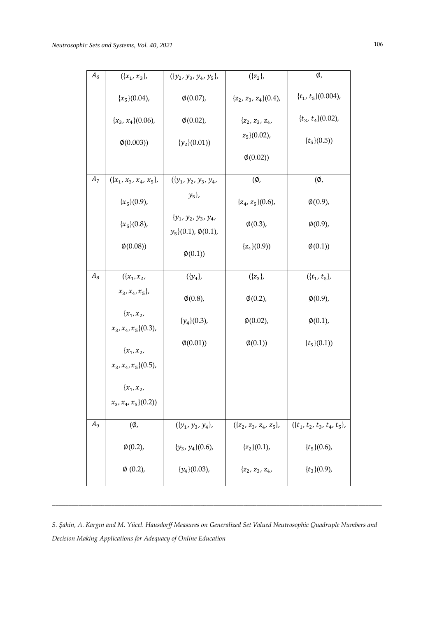| $({x_1, x_3},$            | $({y_2, y_3, y_4, y_5}),$                              | $({z_2},$                 | Ø,                             |
|---------------------------|--------------------------------------------------------|---------------------------|--------------------------------|
| ${x5}(0.04)$ ,            | $\phi(0.07)$ ,                                         | ${z_2, z_3, z_4}(0.4)$ ,  | $\{t_1, t_5\}$ (0.004),        |
| ${x_3, x_4}(0.06)$ ,      | $\phi(0.02)$ ,                                         | $\{z_2, z_3, z_4,$        | $\{t_3, t_4\}(0.02)$ ,         |
| $\phi(0.003)$             | ${y_2}(0.01)$                                          | $z_5(0.02)$ ,             | $\{t_5\}(0.5)$                 |
|                           |                                                        | $\phi(0.02)$              |                                |
| $({x_1, x_3, x_4, x_5}),$ | $({y_1, y_2, y_3, y_4},$                               | $(\emptyset,$             | $(\emptyset,$                  |
| ${x5}(0.9)$ ,             | $y_5$ ,                                                | ${z_4, z_5}(0.6)$ ,       | $\phi(0.9)$ ,                  |
| ${x5}(0.8)$ ,             | $\{y_1, y_2, y_3, y_4,$<br>$y_5(0.1), \emptyset(0.1),$ | $\phi(0.3)$ ,             | $\phi(0.9)$ ,                  |
| $\phi(0.08)$              | $\varphi(0.1)$                                         | ${z_4}(0.9)$              | $\varphi(0.1)$                 |
| $({x_1, x_2,})$           | $({y_4},$                                              | $({z_3},$                 | $({t_1, t_5}),$                |
| $x_3, x_4, x_5\},$        | $\phi(0.8)$ ,                                          | $\phi(0.2)$ ,             | $\phi(0.9)$ ,                  |
| $\{x_1, x_2,$             | $\{y_4\}(0.3)$ ,                                       | $\phi(0.02)$ ,            | $\phi(0.1)$ ,                  |
| $\{x_1, x_2,$             | $\phi(0.01)$                                           | $\varphi(0.1)$            | $\{t_5\}(0.1)$                 |
| $x_3, x_4, x_5(0.5)$ ,    |                                                        |                           |                                |
| $\{x_1, x_2,$             |                                                        |                           |                                |
| $x_3, x_4, x_5(0.2)$      |                                                        |                           |                                |
| (Ø,                       | $({y_1, y_3, y_4}),$                                   | $({z_2, z_3, z_4, z_5}),$ | $({t_1, t_2, t_3, t_4, t_5}),$ |
| $\phi(0.2)$ ,             | $\{y_3, y_4\}(0.6)$ ,                                  | ${z_2}(0.1)$ ,            | $\{t_5\}(0.6)$ ,               |
| $\phi$ (0.2),             | $\{y_4\}(0.03)$ ,                                      | $\{z_2, z_3, z_4,$        | $\{t_3\}(0.9)$ ,               |
|                           | $x_3, x_4, x_5(0.3)$ ,                                 |                           |                                |

*S. Şahin, A. Kargın and M. Yücel. Hausdorff Measures on Generalized Set Valued Neutrosophic Quadruple Numbers and Decision Making Applications for Adequacy of Online Education*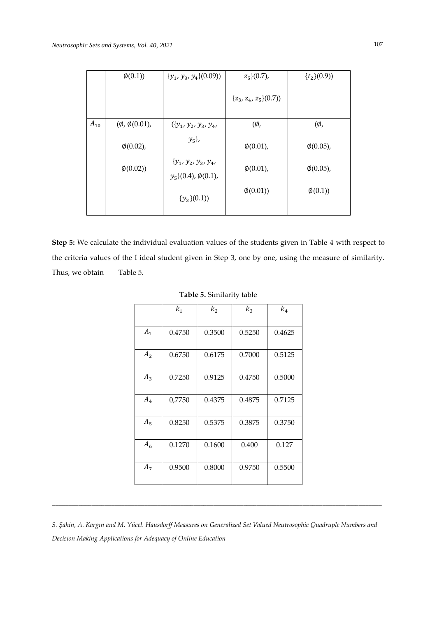|          | $\varphi(0.1)$       | $\{y_1, y_3, y_4\}(0.09)$                             | $z_5(0.7)$ ,           | $\{t_2\}(0.9)$ |
|----------|----------------------|-------------------------------------------------------|------------------------|----------------|
|          |                      |                                                       | ${z_3, z_4, z_5}(0.7)$ |                |
| $A_{10}$ | $(\phi, \phi(0.01))$ | $({y_1, y_2, y_3, y_4,})$                             | (Ø,                    | (Ø,            |
|          | $\phi(0.02)$ ,       | $y_5$ ,                                               | $\phi(0.01)$ ,         | $\phi(0.05)$ , |
|          | $\phi(0.02)$         | $\{y_1, y_2, y_3, y_4,$<br>$y_5(0.4)$ , $\phi(0.1)$ , | $\phi(0.01)$ ,         | $\phi(0.05)$ , |
|          |                      | ${y_3}(0.1)$                                          | $\phi(0.01)$           | $\varphi(0.1)$ |

**Step 5:** We calculate the individual evaluation values of the students given in Table 4 with respect to the criteria values of the I ideal student given in Step 3, one by one, using the measure of similarity. Thus, we obtain Table 5.

|                | $k_1$  | k <sub>2</sub> | $k_3$  | $k_4$  |
|----------------|--------|----------------|--------|--------|
| $A_1$          | 0.4750 | 0.3500         | 0.5250 | 0.4625 |
| A <sub>2</sub> | 0.6750 | 0.6175         | 0.7000 | 0.5125 |
| $A_3$          | 0.7250 | 0.9125         | 0.4750 | 0.5000 |
| $A_4$          | 0,7750 | 0.4375         | 0.4875 | 0.7125 |
| $A_{5}$        | 0.8250 | 0.5375         | 0.3875 | 0.3750 |
| A <sub>6</sub> | 0.1270 | 0.1600         | 0.400  | 0.127  |
| A <sub>7</sub> | 0.9500 | 0.8000         | 0.9750 | 0.5500 |

### **Table 5.** Similarity table

*S. Şahin, A. Kargın and M. Yücel. Hausdorff Measures on Generalized Set Valued Neutrosophic Quadruple Numbers and Decision Making Applications for Adequacy of Online Education*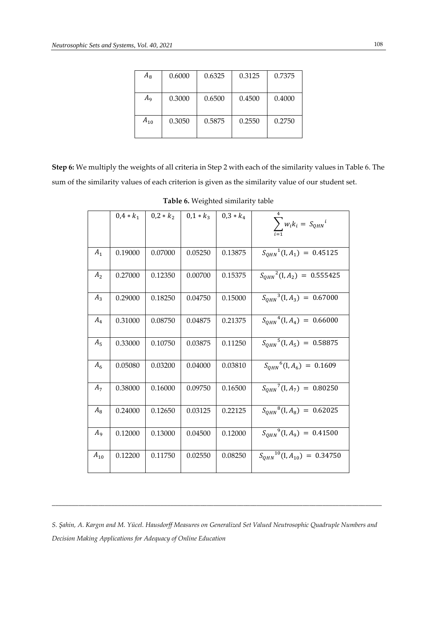| $A_{8}$  | 0.6000 | 0.6325 | 0.3125 | 0.7375 |
|----------|--------|--------|--------|--------|
| A9       | 0.3000 | 0.6500 | 0.4500 | 0.4000 |
| $A_{10}$ | 0.3050 | 0.5875 | 0.2550 | 0.2750 |

**Step 6:** We multiply the weights of all criteria in Step 2 with each of the similarity values in Table 6. The sum of the similarity values of each criterion is given as the similarity value of our student set.

|                | $0.4 * k_1$ | $0,2 * k_2$ | $0,1 * k_3$ | $0,3 * k_4$ | $\sum w_i k_i = S_{QHN}^i$                            |
|----------------|-------------|-------------|-------------|-------------|-------------------------------------------------------|
| $A_1$          | 0.19000     | 0.07000     | 0.05250     | 0.13875     | $S_{OHN}^{\ 1}(I, A_1) = 0.45125$                     |
| A <sub>2</sub> | 0.27000     | 0.12350     | 0.00700     | 0.15375     | $S_{OHN}{}^2(I, A_2) = 0.555425$                      |
| $A_3$          | 0.29000     | 0.18250     | 0.04750     | 0.15000     | $\overline{S_{OHN}}^3$ (I, A <sub>3</sub> ) = 0.67000 |
| $A_4$          | 0.31000     | 0.08750     | 0.04875     | 0.21375     | $S_{OHN}^{4}$ (I, A <sub>4</sub> ) = 0.66000          |
| $A_5$          | 0.33000     | 0.10750     | 0.03875     | 0.11250     | $\overline{S_{OHN}}^5$ (I, A <sub>5</sub> ) = 0.58875 |
| $A_6$          | 0.05080     | 0.03200     | 0.04000     | 0.03810     | $\overline{S_{OHN}}^6$ (I, A <sub>6</sub> ) = 0.1609  |
| A <sub>7</sub> | 0.38000     | 0.16000     | 0.09750     | 0.16500     | $S_{OHN}^7(I, A_7) = 0.80250$                         |
| $A_{8}$        | 0.24000     | 0.12650     | 0.03125     | 0.22125     | $S_{OHN}^{8}$ (I, A <sub>8</sub> ) = 0.62025          |
| A <sub>9</sub> | 0.12000     | 0.13000     | 0.04500     | 0.12000     | $\frac{1}{S_{OHN}^{9}(I, A_9)} = 0.41500$             |
| $A_{10}$       | 0.12200     | 0.11750     | 0.02550     | 0.08250     | $S_{OHN}^{10}$ (I, A <sub>10</sub> ) = 0.34750        |

**Table 6.** Weighted similarity table

*S. Şahin, A. Kargın and M. Yücel. Hausdorff Measures on Generalized Set Valued Neutrosophic Quadruple Numbers and Decision Making Applications for Adequacy of Online Education*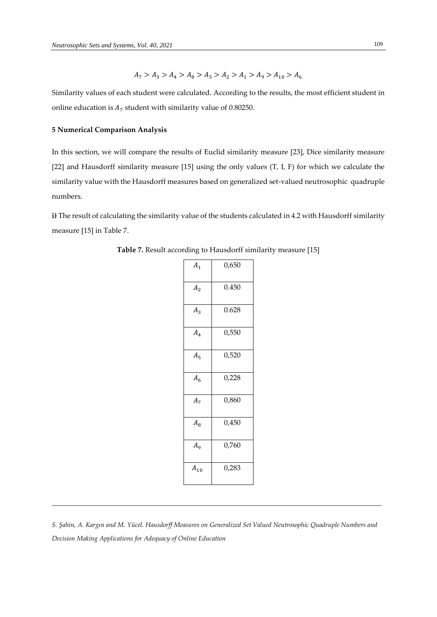$$
A_7 > A_3 > A_4 > A_8 > A_5 > A_2 > A_1 > A_9 > A_{10} > A_6
$$

Similarity values of each student were calculated. According to the results, the most efficient student in online education is  $A_7$  student with similarity value of 0.80250.

#### **5 Numerical Comparison Analysis**

In this section, we will compare the results of Euclid similarity measure [23], Dice similarity measure [22] and Hausdorff similarity measure [15] using the only values (T, I, F) for which we calculate the similarity value with the Hausdorff measures based on generalized set-valued neutrosophic quadruple numbers.

**i)** The result of calculating the similarity value of the students calculated in 4.2 with Hausdorff similarity measure [15] in Table 7.

| A <sub>1</sub> | 0,650 |
|----------------|-------|
| A <sub>2</sub> | 0.450 |
| $A_3$          | 0.628 |
| $A_4$          | 0,550 |
| $A_5$          | 0,520 |
| A <sub>6</sub> | 0,228 |
| A <sub>7</sub> | 0,860 |
| $A_8$          | 0,450 |
| $A_{9}$        | 0,760 |
| $A_{10}$       | 0,283 |
|                |       |

**Table 7.** Result according to Hausdorff similarity measure [15]

*S. Şahin, A. Kargın and M. Yücel. Hausdorff Measures on Generalized Set Valued Neutrosophic Quadruple Numbers and Decision Making Applications for Adequacy of Online Education*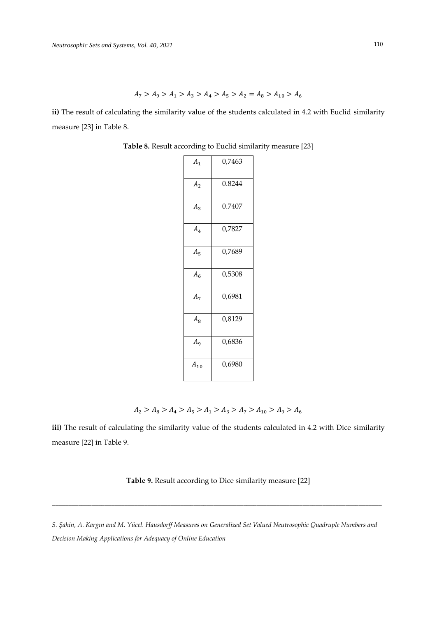$$
A_7 > A_9 > A_1 > A_3 > A_4 > A_5 > A_2 = A_8 > A_{10} > A_6
$$

ii) The result of calculating the similarity value of the students calculated in 4.2 with Euclid similarity measure [23] in Table 8.

| $A_1$          | 0,7463 |
|----------------|--------|
| A <sub>2</sub> | 0.8244 |
| $A_3$          | 0.7407 |
| $A_4$          | 0,7827 |
| $A_{5}$        | 0,7689 |
| A <sub>6</sub> | 0,5308 |
| $A_7$          | 0,6981 |
| $A_{8}$        | 0,8129 |
| $A_{9}$        | 0,6836 |
| $A_{10}$       | 0,6980 |

**Table 8.** Result according to Euclid similarity measure [23]

 $A_2 > A_8 > A_4 > A_5 > A_1 > A_3 > A_7 > A_{10} > A_9 > A_6$ 

iii) The result of calculating the similarity value of the students calculated in 4.2 with Dice similarity measure [22] in Table 9.

**Table 9.** Result according to Dice similarity measure [22]

*\_\_\_\_\_\_\_\_\_\_\_\_\_\_\_\_\_\_\_\_\_\_\_\_\_\_\_\_\_\_\_\_\_\_\_\_\_\_\_\_\_\_\_\_\_\_\_\_\_\_\_\_\_\_\_\_\_\_\_\_\_\_\_\_\_\_\_\_\_\_\_\_\_\_\_\_\_\_\_\_\_\_\_\_\_\_\_\_\_\_\_\_\_\_\_\_\_\_\_\_*

*S. Şahin, A. Kargın and M. Yücel. Hausdorff Measures on Generalized Set Valued Neutrosophic Quadruple Numbers and Decision Making Applications for Adequacy of Online Education*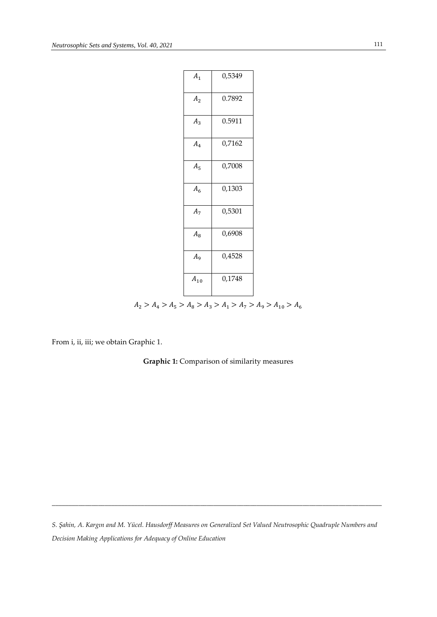| $A_1$          | 0,5349 |
|----------------|--------|
| A <sub>2</sub> | 0.7892 |
| $A_3$          | 0.5911 |
| $A_4$          | 0,7162 |
| $A_5$          | 0,7008 |
| A <sub>6</sub> | 0,1303 |
| A <sub>7</sub> | 0,5301 |
| $A_8$          | 0,6908 |
| $A_9$          | 0,4528 |
| $A_{10}$       | 0,1748 |

 $A_2 > A_4 > A_5 > A_8 > A_3 > A_1 > A_7 > A_9 > A_{10} > A_6$ 

From i, ii, iii; we obtain Graphic 1.

**Graphic 1:** Comparison of similarity measures

*S. Şahin, A. Kargın and M. Yücel. Hausdorff Measures on Generalized Set Valued Neutrosophic Quadruple Numbers and Decision Making Applications for Adequacy of Online Education*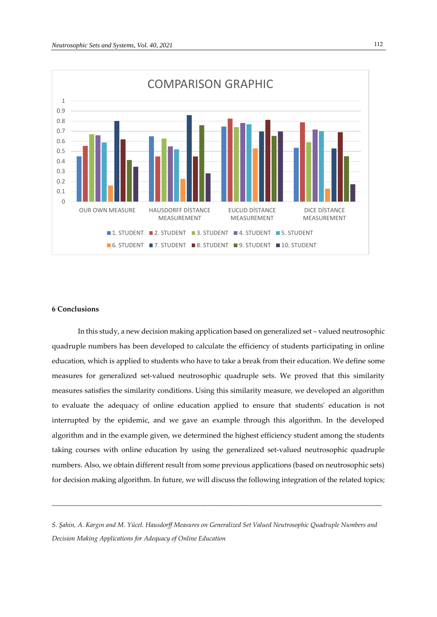

# **6 Conclusions**

In this study, a new decision making application based on generalized set – valued neutrosophic quadruple numbers has been developed to calculate the efficiency of students participating in online education, which is applied to students who have to take a break from their education. We define some measures for generalized set-valued neutrosophic quadruple sets. We proved that this similarity measures satisfies the similarity conditions. Using this similarity measure, we developed an algorithm to evaluate the adequacy of online education applied to ensure that students' education is not interrupted by the epidemic, and we gave an example through this algorithm. In the developed algorithm and in the example given, we determined the highest efficiency student among the students taking courses with online education by using the generalized set-valued neutrosophic quadruple numbers. Also, we obtain different result from some previous applications (based on neutrosophic sets) for decision making algorithm. In future, we will discuss the following integration of the related topics;

*S. Şahin, A. Kargın and M. Yücel. Hausdorff Measures on Generalized Set Valued Neutrosophic Quadruple Numbers and Decision Making Applications for Adequacy of Online Education*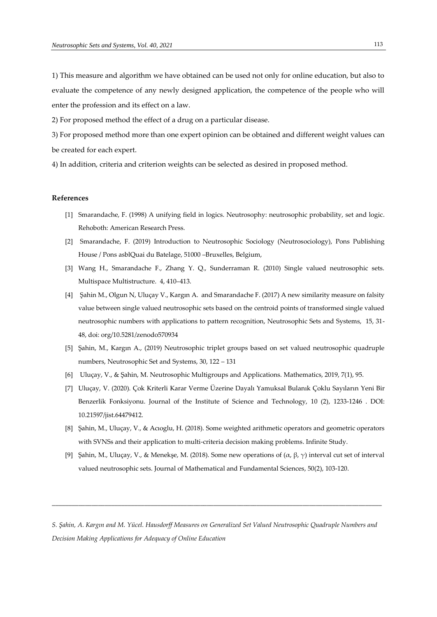1) This measure and algorithm we have obtained can be used not only for online education, but also to evaluate the competence of any newly designed application, the competence of the people who will enter the profession and its effect on a law.

2) For proposed method the effect of a drug on a particular disease.

3) For proposed method more than one expert opinion can be obtained and different weight values can be created for each expert.

4) In addition, criteria and criterion weights can be selected as desired in proposed method.

#### **References**

- [1] Smarandache, F. (1998) A unifying field in logics. Neutrosophy: neutrosophic probability, set and logic. Rehoboth: American Research Press.
- [2] Smarandache, F. (2019) Introduction to Neutrosophic Sociology (Neutrosociology), Pons Publishing House / Pons asblQuai du Batelage, 51000 –Bruxelles, Belgium,
- [3] Wang H., Smarandache F., Zhang Y. Q., Sunderraman R. (2010) Single valued neutrosophic sets. Multispace Multistructure. 4, 410–413.
- [4] Şahin M., Olgun N, Uluçay V., Kargın A. and Smarandache F. (2017) A new similarity measure on falsity value between single valued neutrosophic sets based on the centroid points of transformed single valued neutrosophic numbers with applications to pattern recognition, Neutrosophic Sets and Systems, 15, 31- 48, doi: org/10.5281/zenodo570934
- [5] Şahin, M., Kargın A., (2019) Neutrosophic triplet groups based on set valued neutrosophic quadruple numbers, Neutrosophic Set and Systems, 30, 122 – 131
- [6] Uluçay, V., & Şahin, M. Neutrosophic Multigroups and Applications. Mathematics, 2019, 7(1), 95.
- [7] Uluçay, V. (2020). Çok Kriterli Karar Verme Üzerine Dayalı Yamuksal Bulanık Çoklu Sayıların Yeni Bir Benzerlik Fonksiyonu. Journal of the Institute of Science and Technology, 10 (2), 1233-1246 . DOI: 10.21597/jist.64479412.
- [8] Şahin, M., Uluçay, V., & Acıoglu, H. (2018). Some weighted arithmetic operators and geometric operators with SVNSs and their application to multi-criteria decision making problems. Infinite Study.
- [9] Şahin, M., Uluçay, V., & Menekşe, M. (2018). Some new operations of  $(\alpha, \beta, \gamma)$  interval cut set of interval valued neutrosophic sets. Journal of Mathematical and Fundamental Sciences, 50(2), 103-120.

*S. Şahin, A. Kargın and M. Yücel. Hausdorff Measures on Generalized Set Valued Neutrosophic Quadruple Numbers and Decision Making Applications for Adequacy of Online Education*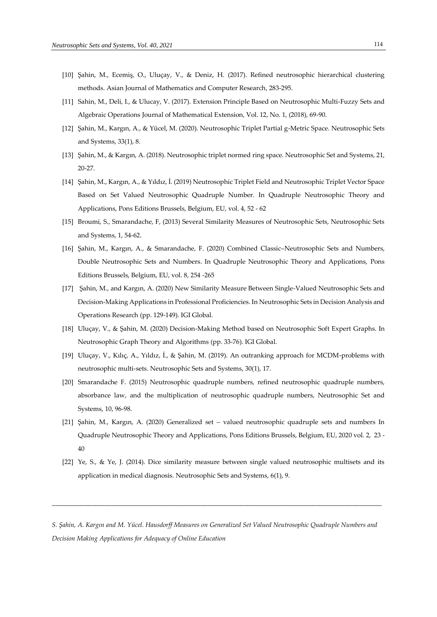- [10] Şahin, M., Ecemiş, O., Uluçay, V., & Deniz, H. (2017). Refined neutrosophic hierarchical clustering methods. Asian Journal of Mathematics and Computer Research, 283-295.
- [11] Sahin, M., Deli, I., & Ulucay, V. (2017). Extension Principle Based on Neutrosophic Multi-Fuzzy Sets and Algebraic Operations Journal of Mathematical Extension, Vol. 12, No. 1, (2018), 69-90.
- [12] Şahin, M., Kargın, A., & Yücel, M. (2020). Neutrosophic Triplet Partial g-Metric Space. Neutrosophic Sets and Systems, 33(1), 8.
- [13] Şahin, M., & Kargın, A. (2018). Neutrosophic triplet normed ring space. Neutrosophic Set and Systems, 21, 20-27.
- [14] Şahin, M., Kargın, A., & Yıldız, İ. (2019) Neutrosophic Triplet Field and Neutrosophic Triplet Vector Space Based on Set Valued Neutrosophic Quadruple Number. In Quadruple Neutrosophic Theory and Applications, Pons Editions Brussels, Belgium, EU, vol. 4, 52 - 62
- [15] Broumi, S., Smarandache, F, (2013) Several Similarity Measures of Neutrosophic Sets, Neutrosophic Sets and Systems, 1, 54-62.
- [16] Şahin, M., Kargın, A., & Smarandache, F. (2020) Combined Classic–Neutrosophic Sets and Numbers, Double Neutrosophic Sets and Numbers. In Quadruple Neutrosophic Theory and Applications, Pons Editions Brussels, Belgium, EU, vol. 8, 254 -265
- [17] Şahin, M., and Kargın, A. (2020) New Similarity Measure Between Single-Valued Neutrosophic Sets and Decision-Making Applications in Professional Proficiencies. In Neutrosophic Sets in Decision Analysis and Operations Research (pp. 129-149). IGI Global.
- [18] Uluçay, V., & Şahin, M. (2020) Decision-Making Method based on Neutrosophic Soft Expert Graphs. In Neutrosophic Graph Theory and Algorithms (pp. 33-76). IGI Global.
- [19] Uluçay, V., Kılıç, A., Yıldız, İ., & Şahin, M. (2019). An outranking approach for MCDM-problems with neutrosophic multi-sets. Neutrosophic Sets and Systems, 30(1), 17.
- [20] Smarandache F. (2015) Neutrosophic quadruple numbers, refined neutrosophic quadruple numbers, absorbance law, and the multiplication of neutrosophic quadruple numbers, Neutrosophic Set and Systems, 10, 96-98.
- [21] Şahin, M., Kargın, A. (2020) Generalized set valued neutrosophic quadruple sets and numbers In Quadruple Neutrosophic Theory and Applications, Pons Editions Brussels, Belgium, EU, 2020 vol. 2, 23 - 40
- [22] Ye, S., & Ye, J. (2014). Dice similarity measure between single valued neutrosophic multisets and its application in medical diagnosis. Neutrosophic Sets and Systems, 6(1), 9.

*S. Şahin, A. Kargın and M. Yücel. Hausdorff Measures on Generalized Set Valued Neutrosophic Quadruple Numbers and Decision Making Applications for Adequacy of Online Education*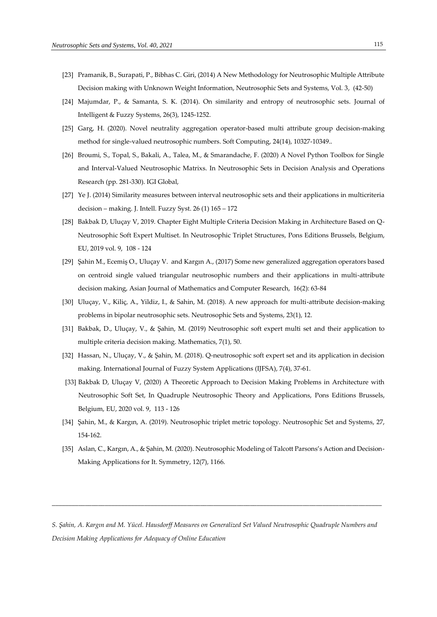- [23] Pramanik, B., Surapati, P., Bibhas C. Giri, (2014) A New Methodology for Neutrosophic Multiple Attribute Decision making with Unknown Weight Information, Neutrosophic Sets and Systems, Vol. 3, (42-50)
- [24] Majumdar, P., & Samanta, S. K. (2014). On similarity and entropy of neutrosophic sets. Journal of Intelligent & Fuzzy Systems, 26(3), 1245-1252.
- [25] Garg, H. (2020). Novel neutrality aggregation operator-based multi attribute group decision-making method for single-valued neutrosophic numbers. Soft Computing, 24(14), 10327-10349..
- [26] Broumi, S., Topal, S., Bakali, A., Talea, M., & Smarandache, F. (2020) A Novel Python Toolbox for Single and Interval-Valued Neutrosophic Matrixs. In Neutrosophic Sets in Decision Analysis and Operations Research (pp. 281-330). IGI Global,
- [27] Ye J. (2014) Similarity measures between interval neutrosophic sets and their applications in multicriteria decision – making. J. Intell. Fuzzy Syst. 26 (1) 165 – 172
- [28] Bakbak D, Uluçay V, 2019. Chapter Eight Multiple Criteria Decision Making in Architecture Based on Q-Neutrosophic Soft Expert Multiset. In Neutrosophic Triplet Structures, Pons Editions Brussels, Belgium, EU, 2019 vol. 9, 108 - 124
- [29] Şahin M., Ecemiş O., Uluçay V. and Kargın A., (2017) Some new generalized aggregation operators based on centroid single valued triangular neutrosophic numbers and their applications in multi-attribute decision making, Asian Journal of Mathematics and Computer Research, 16(2): 63-84
- [30] Uluçay, V., Kiliç, A., Yildiz, I., & Sahin, M. (2018). A new approach for multi-attribute decision-making problems in bipolar neutrosophic sets. Neutrosophic Sets and Systems, 23(1), 12.
- [31] Bakbak, D., Uluçay, V., & Şahin, M. (2019) Neutrosophic soft expert multi set and their application to multiple criteria decision making. Mathematics, 7(1), 50.
- [32] Hassan, N., Uluçay, V., & Şahin, M. (2018). Q-neutrosophic soft expert set and its application in decision making. International Journal of Fuzzy System Applications (IJFSA), 7(4), 37-61.
- [33] Bakbak D, Uluçay V, (2020) A Theoretic Approach to Decision Making Problems in Architecture with Neutrosophic Soft Set, In Quadruple Neutrosophic Theory and Applications, Pons Editions Brussels, Belgium, EU, 2020 vol. 9, 113 - 126
- [34] Şahin, M., & Kargın, A. (2019). Neutrosophic triplet metric topology. Neutrosophic Set and Systems, 27, 154-162.
- [35] Aslan, C., Kargın, A., & Şahin, M. (2020). Neutrosophic Modeling of Talcott Parsons's Action and Decision-Making Applications for It. Symmetry, 12(7), 1166.

*S. Şahin, A. Kargın and M. Yücel. Hausdorff Measures on Generalized Set Valued Neutrosophic Quadruple Numbers and Decision Making Applications for Adequacy of Online Education*